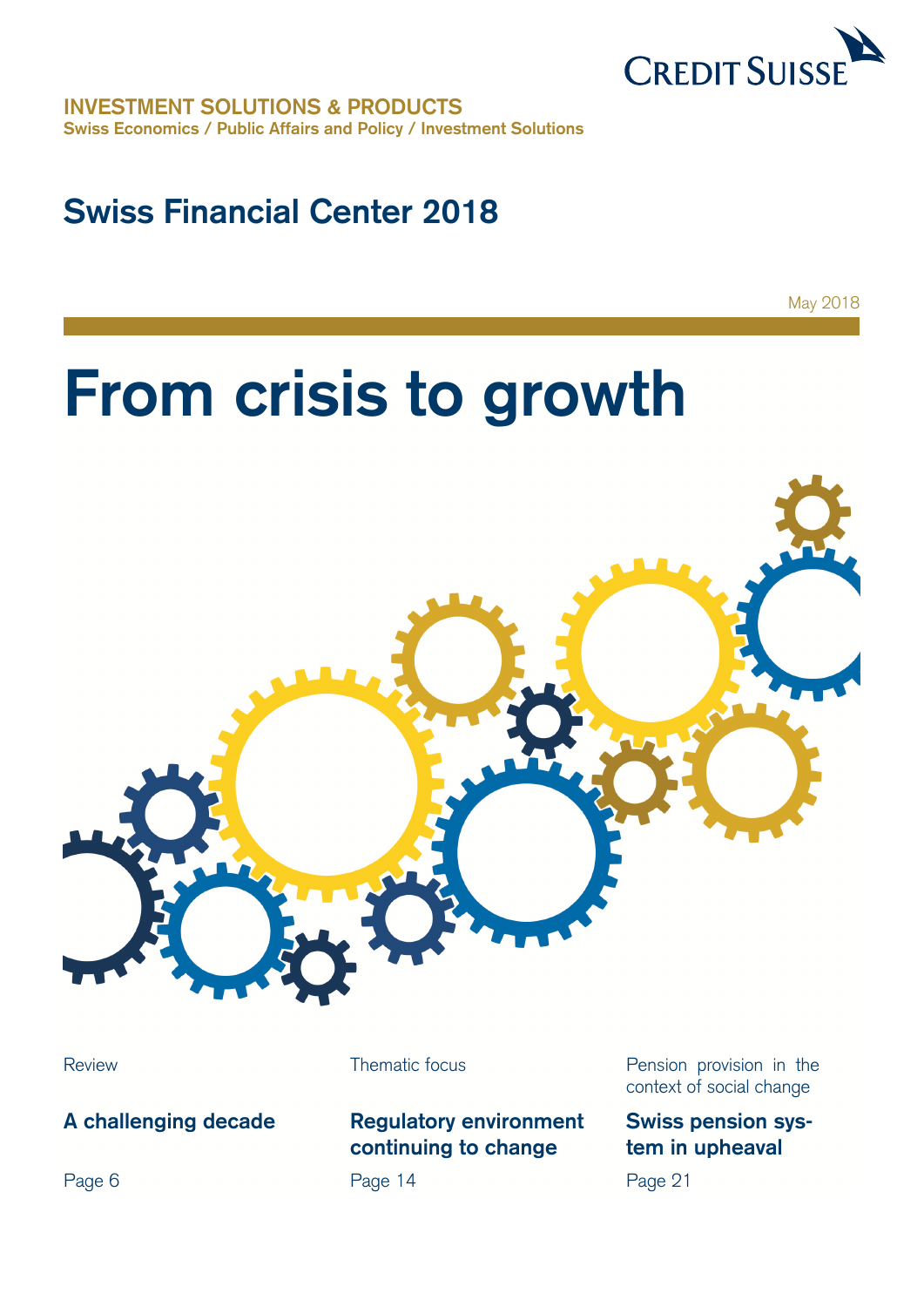

**INVESTMENT SOLUTIONS & PRODUCTS Swiss Economics / Public Affairs and Policy / Investment Solutions** 

# **Swiss Financial Center 2018**

May 2018

# **From crisis to growth**



**A challenging decade** 

Page 6

## **Regulatory environment continuing to change**

Page 14

Review **Thematic focus** Pension provision in the context of social change

## **Swiss pension system in upheaval**

Page 21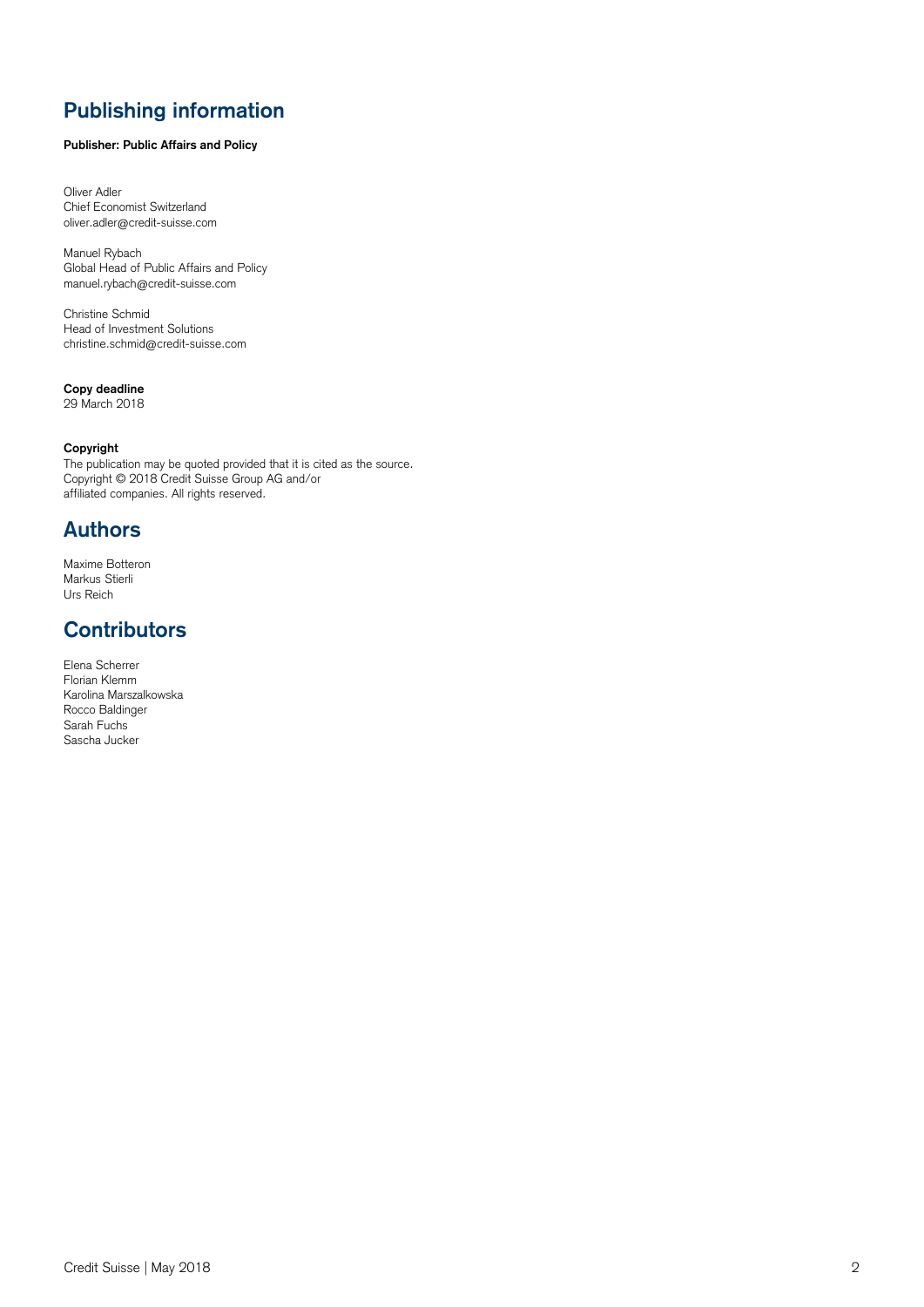## **Publishing information**

### **Publisher: Public Affairs and Policy**

Oliver Adler Chief Economist Switzerland oliver.adler@credit-suisse.com

Manuel Rybach Global Head of Public Affairs and Policy manuel.rybach@credit-suisse.com

Christine Schmid Head of Investment Solutions christine.schmid@credit-suisse.com

### **Copy deadline**

29 March 2018

#### **Copyright**

The publication may be quoted provided that it is cited as the source. Copyright © 2018 Credit Suisse Group AG and/or affiliated companies. All rights reserved.

## **Authors**

Maxime Botteron Markus Stierli Urs Reich

## **Contributors**

Elena Scherrer Florian Klemm Karolina Marszalkowska Rocco Baldinger Sarah Fuchs Sascha Jucker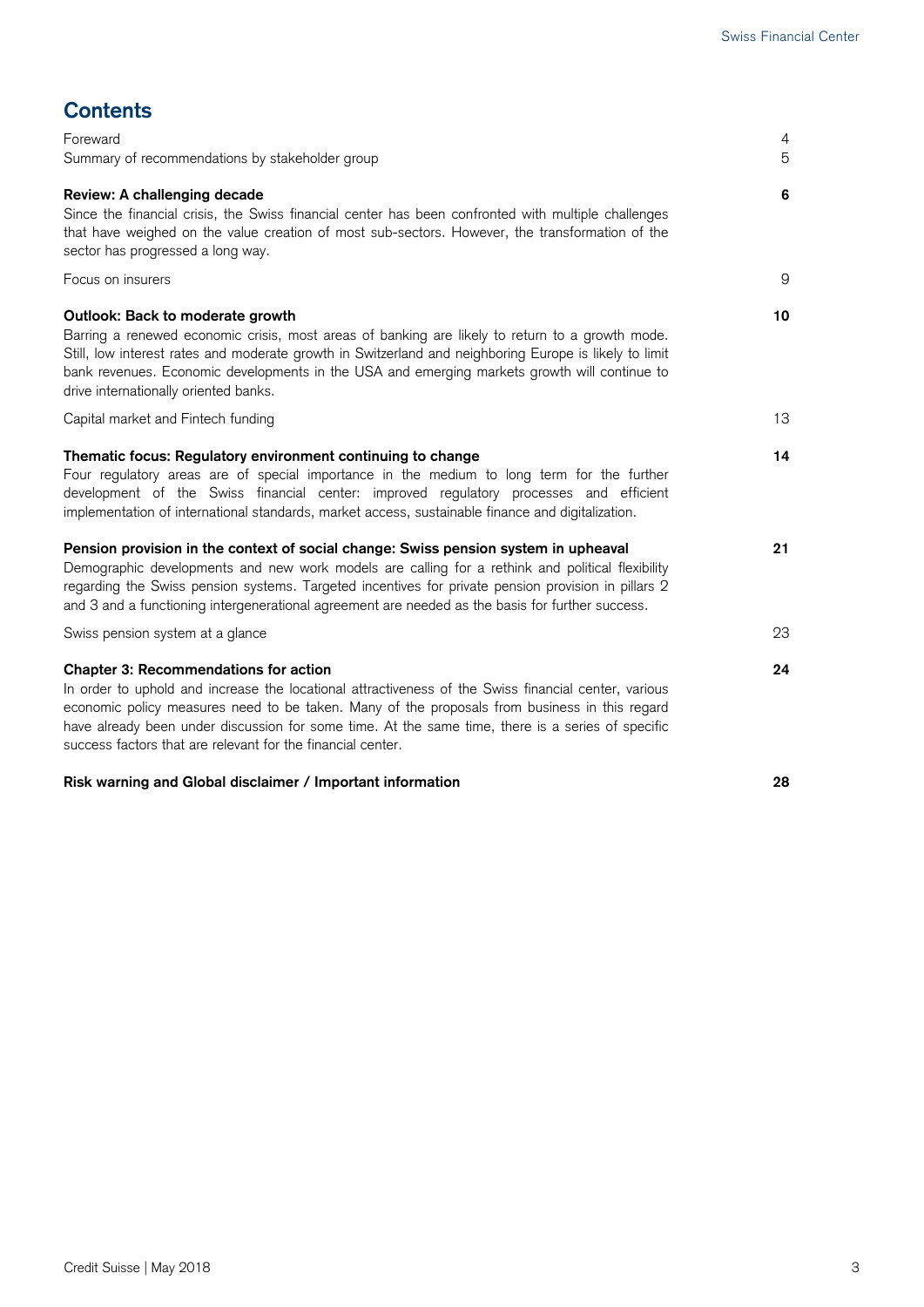| <b>Contents</b>                                                                                                                                                                                                                                                                                                                                                                                                           |        |
|---------------------------------------------------------------------------------------------------------------------------------------------------------------------------------------------------------------------------------------------------------------------------------------------------------------------------------------------------------------------------------------------------------------------------|--------|
| Foreward<br>Summary of recommendations by stakeholder group                                                                                                                                                                                                                                                                                                                                                               | 4<br>5 |
| Review: A challenging decade<br>Since the financial crisis, the Swiss financial center has been confronted with multiple challenges<br>that have weighed on the value creation of most sub-sectors. However, the transformation of the<br>sector has progressed a long way.                                                                                                                                               | 6      |
| Focus on insurers                                                                                                                                                                                                                                                                                                                                                                                                         | 9      |
| Outlook: Back to moderate growth<br>Barring a renewed economic crisis, most areas of banking are likely to return to a growth mode.<br>Still, low interest rates and moderate growth in Switzerland and neighboring Europe is likely to limit<br>bank revenues. Economic developments in the USA and emerging markets growth will continue to<br>drive internationally oriented banks.                                    | 10     |
| Capital market and Fintech funding                                                                                                                                                                                                                                                                                                                                                                                        | 13     |
| Thematic focus: Regulatory environment continuing to change<br>Four regulatory areas are of special importance in the medium to long term for the further<br>development of the Swiss financial center: improved regulatory processes and efficient<br>implementation of international standards, market access, sustainable finance and digitalization.                                                                  | 14     |
| Pension provision in the context of social change: Swiss pension system in upheaval<br>Demographic developments and new work models are calling for a rethink and political flexibility<br>regarding the Swiss pension systems. Targeted incentives for private pension provision in pillars 2<br>and 3 and a functioning intergenerational agreement are needed as the basis for further success.                        | 21     |
| Swiss pension system at a glance                                                                                                                                                                                                                                                                                                                                                                                          | 23     |
| <b>Chapter 3: Recommendations for action</b><br>In order to uphold and increase the locational attractiveness of the Swiss financial center, various<br>economic policy measures need to be taken. Many of the proposals from business in this regard<br>have already been under discussion for some time. At the same time, there is a series of specific<br>success factors that are relevant for the financial center. | 24     |
| Risk warning and Global disclaimer / Important information                                                                                                                                                                                                                                                                                                                                                                | 28     |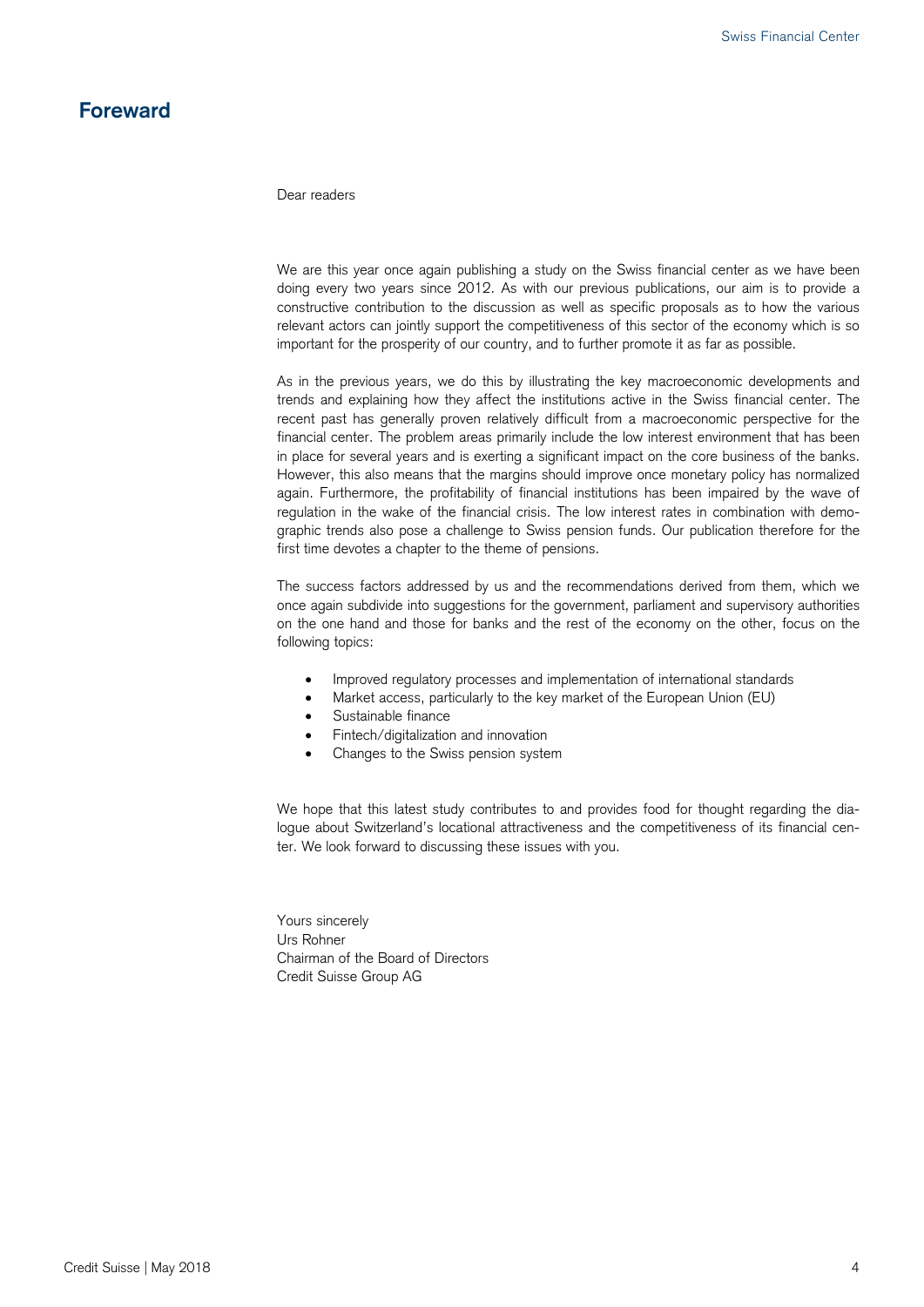## **Foreward**

Dear readers

We are this year once again publishing a study on the Swiss financial center as we have been doing every two years since 2012. As with our previous publications, our aim is to provide a constructive contribution to the discussion as well as specific proposals as to how the various relevant actors can jointly support the competitiveness of this sector of the economy which is so important for the prosperity of our country, and to further promote it as far as possible.

As in the previous years, we do this by illustrating the key macroeconomic developments and trends and explaining how they affect the institutions active in the Swiss financial center. The recent past has generally proven relatively difficult from a macroeconomic perspective for the financial center. The problem areas primarily include the low interest environment that has been in place for several years and is exerting a significant impact on the core business of the banks. However, this also means that the margins should improve once monetary policy has normalized again. Furthermore, the profitability of financial institutions has been impaired by the wave of regulation in the wake of the financial crisis. The low interest rates in combination with demographic trends also pose a challenge to Swiss pension funds. Our publication therefore for the first time devotes a chapter to the theme of pensions.

The success factors addressed by us and the recommendations derived from them, which we once again subdivide into suggestions for the government, parliament and supervisory authorities on the one hand and those for banks and the rest of the economy on the other, focus on the following topics:

- Improved regulatory processes and implementation of international standards
- Market access, particularly to the key market of the European Union (EU)
- Sustainable finance
- Fintech/digitalization and innovation
- Changes to the Swiss pension system

We hope that this latest study contributes to and provides food for thought regarding the dialogue about Switzerland's locational attractiveness and the competitiveness of its financial center. We look forward to discussing these issues with you.

Yours sincerely Urs Rohner Chairman of the Board of Directors Credit Suisse Group AG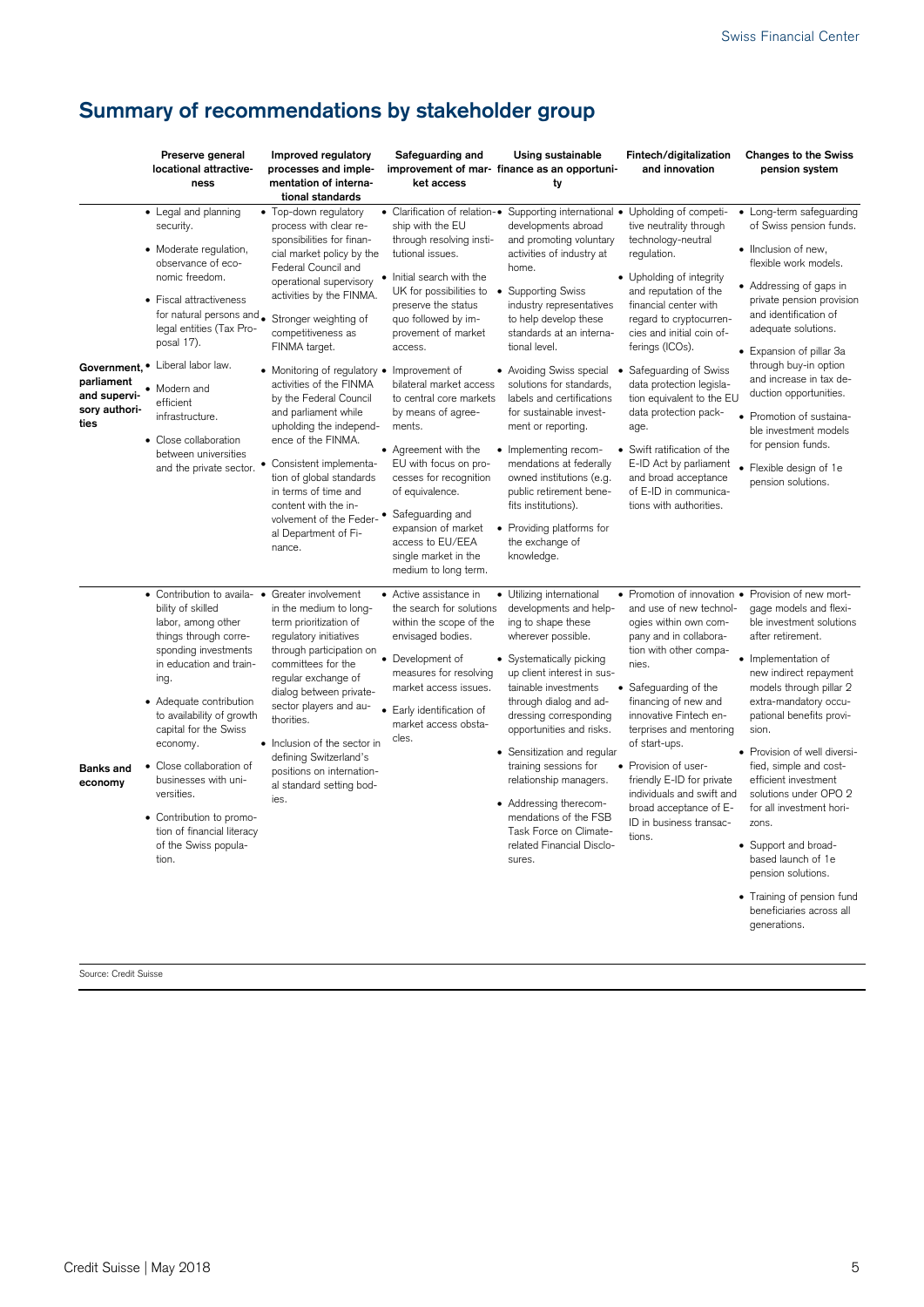## **Summary of recommendations by stakeholder group**

|                                                                    | Preserve general<br>locational attractive-<br>ness                                                                                                                                                                                                                                                                                                                                                                   | Improved regulatory<br>processes and imple-<br>mentation of interna-<br>tional standards                                                                                                                                                                                                                                                                                                                                                                                                                                                                                                 | Safeguarding and<br>improvement of mar- finance as an opportuni-<br>ket access                                                                                                                                                                                                                                                                                                                                                                                                                                              | Using sustainable<br>ty                                                                                                                                                                                                                                                                                                                                                                                                                                                                                                                                                                                                              | Fintech/digitalization<br>and innovation                                                                                                                                                                                                                                                                                                                                                                                                                                      | <b>Changes to the Swiss</b><br>pension system                                                                                                                                                                                                                                                                                                                                                                                                                                                                                             |
|--------------------------------------------------------------------|----------------------------------------------------------------------------------------------------------------------------------------------------------------------------------------------------------------------------------------------------------------------------------------------------------------------------------------------------------------------------------------------------------------------|------------------------------------------------------------------------------------------------------------------------------------------------------------------------------------------------------------------------------------------------------------------------------------------------------------------------------------------------------------------------------------------------------------------------------------------------------------------------------------------------------------------------------------------------------------------------------------------|-----------------------------------------------------------------------------------------------------------------------------------------------------------------------------------------------------------------------------------------------------------------------------------------------------------------------------------------------------------------------------------------------------------------------------------------------------------------------------------------------------------------------------|--------------------------------------------------------------------------------------------------------------------------------------------------------------------------------------------------------------------------------------------------------------------------------------------------------------------------------------------------------------------------------------------------------------------------------------------------------------------------------------------------------------------------------------------------------------------------------------------------------------------------------------|-------------------------------------------------------------------------------------------------------------------------------------------------------------------------------------------------------------------------------------------------------------------------------------------------------------------------------------------------------------------------------------------------------------------------------------------------------------------------------|-------------------------------------------------------------------------------------------------------------------------------------------------------------------------------------------------------------------------------------------------------------------------------------------------------------------------------------------------------------------------------------------------------------------------------------------------------------------------------------------------------------------------------------------|
| Government.<br>parliament<br>and supervi-<br>sory authori-<br>ties | • Legal and planning<br>security.<br>• Moderate regulation,<br>observance of eco-<br>nomic freedom.<br>• Fiscal attractiveness<br>for natural persons and.<br>legal entities (Tax Pro-<br>posal 17).<br>Liberal labor law.<br>Modern and<br>efficient<br>infrastructure.<br>• Close collaboration<br>between universities<br>and the private sector.                                                                 | • Top-down regulatory<br>process with clear re-<br>sponsibilities for finan-<br>cial market policy by the<br>Federal Council and<br>operational supervisory<br>activities by the FINMA.<br>Stronger weighting of<br>competitiveness as<br>FINMA target.<br>• Monitoring of regulatory •<br>activities of the FINMA<br>by the Federal Council<br>and parliament while<br>upholding the independ-<br>ence of the FINMA.<br>Consistent implementa-<br>tion of global standards<br>in terms of time and<br>content with the in-<br>volvement of the Feder-<br>al Department of Fi-<br>nance. | ship with the EU<br>through resolving insti-<br>tutional issues.<br>Initial search with the<br>UK for possibilities to<br>preserve the status<br>quo followed by im-<br>provement of market<br>access.<br>Improvement of<br>bilateral market access<br>to central core markets<br>by means of agree-<br>ments.<br>• Agreement with the<br>EU with focus on pro-<br>cesses for recognition<br>of equivalence.<br>Safeguarding and<br>expansion of market<br>access to EU/EEA<br>single market in the<br>medium to long term. | • Clarification of relation-• Supporting international • Upholding of competi-<br>developments abroad<br>and promoting voluntary<br>activities of industry at<br>home.<br>• Supporting Swiss<br>industry representatives<br>to help develop these<br>standards at an interna-<br>tional level.<br>• Avoiding Swiss special<br>solutions for standards,<br>labels and certifications<br>for sustainable invest-<br>ment or reporting.<br>• Implementing recom-<br>mendations at federally<br>owned institutions (e.g.<br>public retirement bene-<br>fits institutions).<br>• Providing platforms for<br>the exchange of<br>knowledge. | tive neutrality through<br>technology-neutral<br>regulation.<br>• Upholding of integrity<br>and reputation of the<br>financial center with<br>regard to cryptocurren-<br>cies and initial coin of-<br>ferings (ICOs).<br>Safeguarding of Swiss<br>data protection legisla-<br>tion equivalent to the EU<br>data protection pack-<br>age.<br>• Swift ratification of the<br>E-ID Act by parliament<br>and broad acceptance<br>of E-ID in communica-<br>tions with authorities. | Long-term safeguarding<br>of Swiss pension funds.<br>• Ilnclusion of new,<br>flexible work models.<br>• Addressing of gaps in<br>private pension provision<br>and identification of<br>adequate solutions.<br>• Expansion of pillar 3a<br>through buy-in option<br>and increase in tax de-<br>duction opportunities.<br>• Promotion of sustaina-<br>ble investment models<br>for pension funds.<br>Flexible design of 1e<br>pension solutions.                                                                                            |
| <b>Banks and</b><br>economy                                        | • Contribution to availa- •<br>bility of skilled<br>labor, among other<br>things through corre-<br>sponding investments<br>in education and train-<br>ing.<br>• Adequate contribution<br>to availability of growth<br>capital for the Swiss<br>economy.<br>· Close collaboration of<br>businesses with uni-<br>versities.<br>• Contribution to promo-<br>tion of financial literacy<br>of the Swiss popula-<br>tion. | Greater involvement<br>in the medium to long-<br>term prioritization of<br>regulatory initiatives<br>through participation on<br>committees for the<br>regular exchange of<br>dialog between private-<br>sector players and au-<br>$\bullet$<br>thorities.<br>• Inclusion of the sector in<br>defining Switzerland's<br>positions on internation-<br>al standard setting bod-<br>ies.                                                                                                                                                                                                    | • Active assistance in<br>the search for solutions<br>within the scope of the<br>envisaged bodies.<br>• Development of<br>measures for resolving<br>market access issues.<br>Early identification of<br>market access obsta-<br>cles.                                                                                                                                                                                                                                                                                       | • Utilizing international<br>developments and help-<br>ing to shape these<br>wherever possible.<br>• Systematically picking<br>up client interest in sus-<br>tainable investments<br>through dialog and ad-<br>dressing corresponding<br>opportunities and risks.<br>• Sensitization and regular<br>training sessions for<br>relationship managers.<br>• Addressing therecom-<br>mendations of the FSB<br>Task Force on Climate-<br>related Financial Disclo-<br>sures.                                                                                                                                                              | • Promotion of innovation •<br>and use of new technol-<br>ogies within own com-<br>pany and in collabora-<br>tion with other compa-<br>nies.<br>• Safeguarding of the<br>financing of new and<br>innovative Fintech en-<br>terprises and mentoring<br>of start-ups.<br>• Provision of user-<br>friendly E-ID for private<br>individuals and swift and<br>broad acceptance of E-<br>ID in business transac-<br>tions.                                                          | Provision of new mort-<br>gage models and flexi-<br>ble investment solutions<br>after retirement.<br>· Implementation of<br>new indirect repayment<br>models through pillar 2<br>extra-mandatory occu-<br>pational benefits provi-<br>sion.<br>• Provision of well diversi-<br>fied, simple and cost-<br>efficient investment<br>solutions under OPO 2<br>for all investment hori-<br>zons.<br>• Support and broad-<br>based launch of 1e<br>pension solutions.<br>• Training of pension fund<br>beneficiaries across all<br>generations. |

Source: Credit Suisse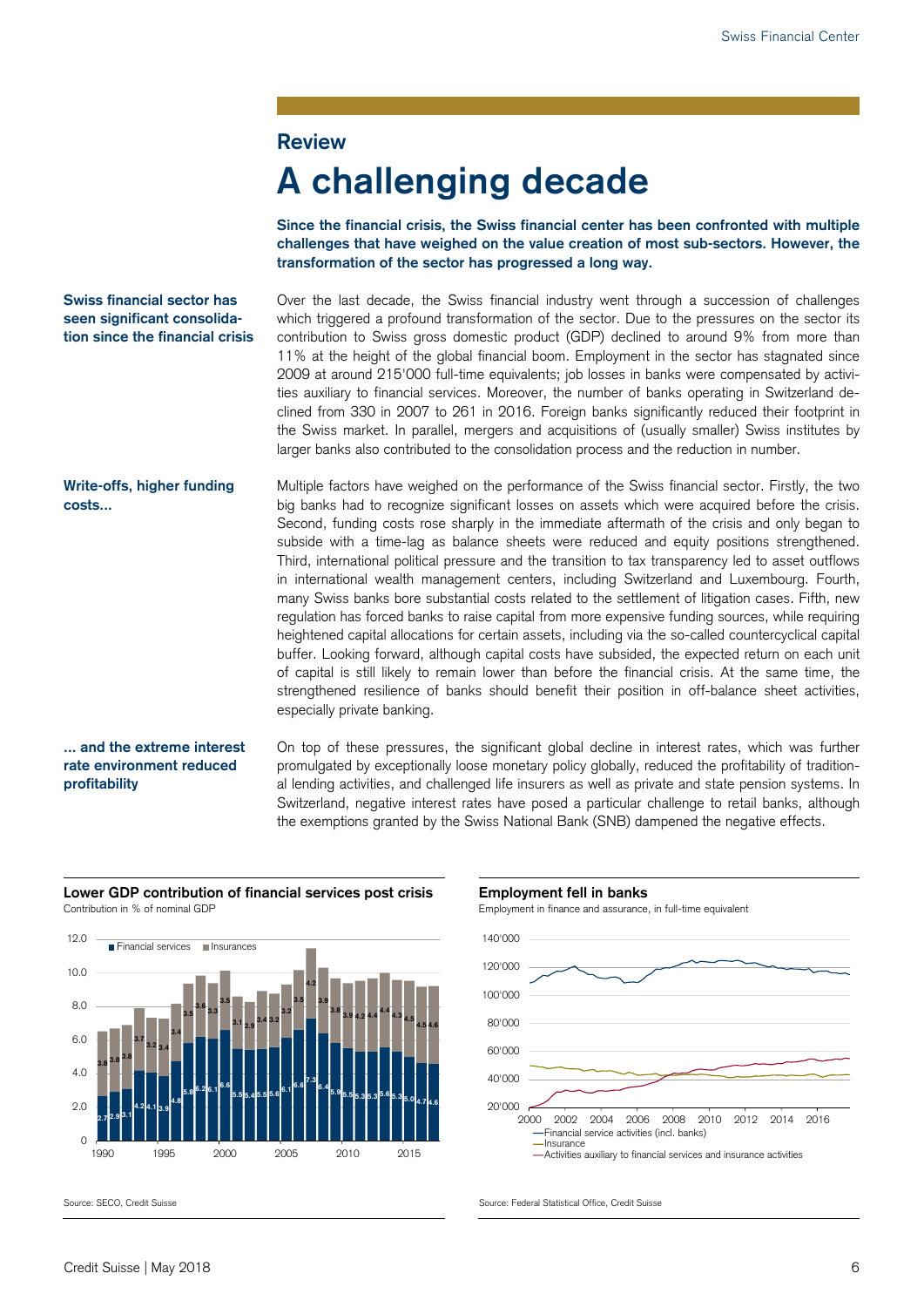### **Review**

# **A challenging decade**

**Since the financial crisis, the Swiss financial center has been confronted with multiple challenges that have weighed on the value creation of most sub-sectors. However, the transformation of the sector has progressed a long way.** 

**Swiss financial sector has seen significant consolidation since the financial crisis**  Over the last decade, the Swiss financial industry went through a succession of challenges which triggered a profound transformation of the sector. Due to the pressures on the sector its contribution to Swiss gross domestic product (GDP) declined to around 9% from more than 11% at the height of the global financial boom. Employment in the sector has stagnated since 2009 at around 215'000 full-time equivalents; job losses in banks were compensated by activities auxiliary to financial services. Moreover, the number of banks operating in Switzerland declined from 330 in 2007 to 261 in 2016. Foreign banks significantly reduced their footprint in the Swiss market. In parallel, mergers and acquisitions of (usually smaller) Swiss institutes by larger banks also contributed to the consolidation process and the reduction in number.

Multiple factors have weighed on the performance of the Swiss financial sector. Firstly, the two big banks had to recognize significant losses on assets which were acquired before the crisis. Second, funding costs rose sharply in the immediate aftermath of the crisis and only began to subside with a time-lag as balance sheets were reduced and equity positions strengthened. Third, international political pressure and the transition to tax transparency led to asset outflows in international wealth management centers, including Switzerland and Luxembourg. Fourth, many Swiss banks bore substantial costs related to the settlement of litigation cases. Fifth, new regulation has forced banks to raise capital from more expensive funding sources, while requiring heightened capital allocations for certain assets, including via the so-called countercyclical capital buffer. Looking forward, although capital costs have subsided, the expected return on each unit of capital is still likely to remain lower than before the financial crisis. At the same time, the strengthened resilience of banks should benefit their position in off-balance sheet activities, especially private banking. **Write-offs, higher funding costs...** 

#### **... and the extreme interest rate environment reduced profitability**

On top of these pressures, the significant global decline in interest rates, which was further promulgated by exceptionally loose monetary policy globally, reduced the profitability of traditional lending activities, and challenged life insurers as well as private and state pension systems. In Switzerland, negative interest rates have posed a particular challenge to retail banks, although the exemptions granted by the Swiss National Bank (SNB) dampened the negative effects.



**Lower GDP contribution of financial services post crisis Employment fell in banks**  Contribution in % of nominal GDP **Employment in finance and assurance**, in full-time equivalent



Activities auxiliary to financial services and insurance activities

Source: SECO, Credit Suisse Source: Second Suisse Source: Federal Statistical Office, Credit Suisse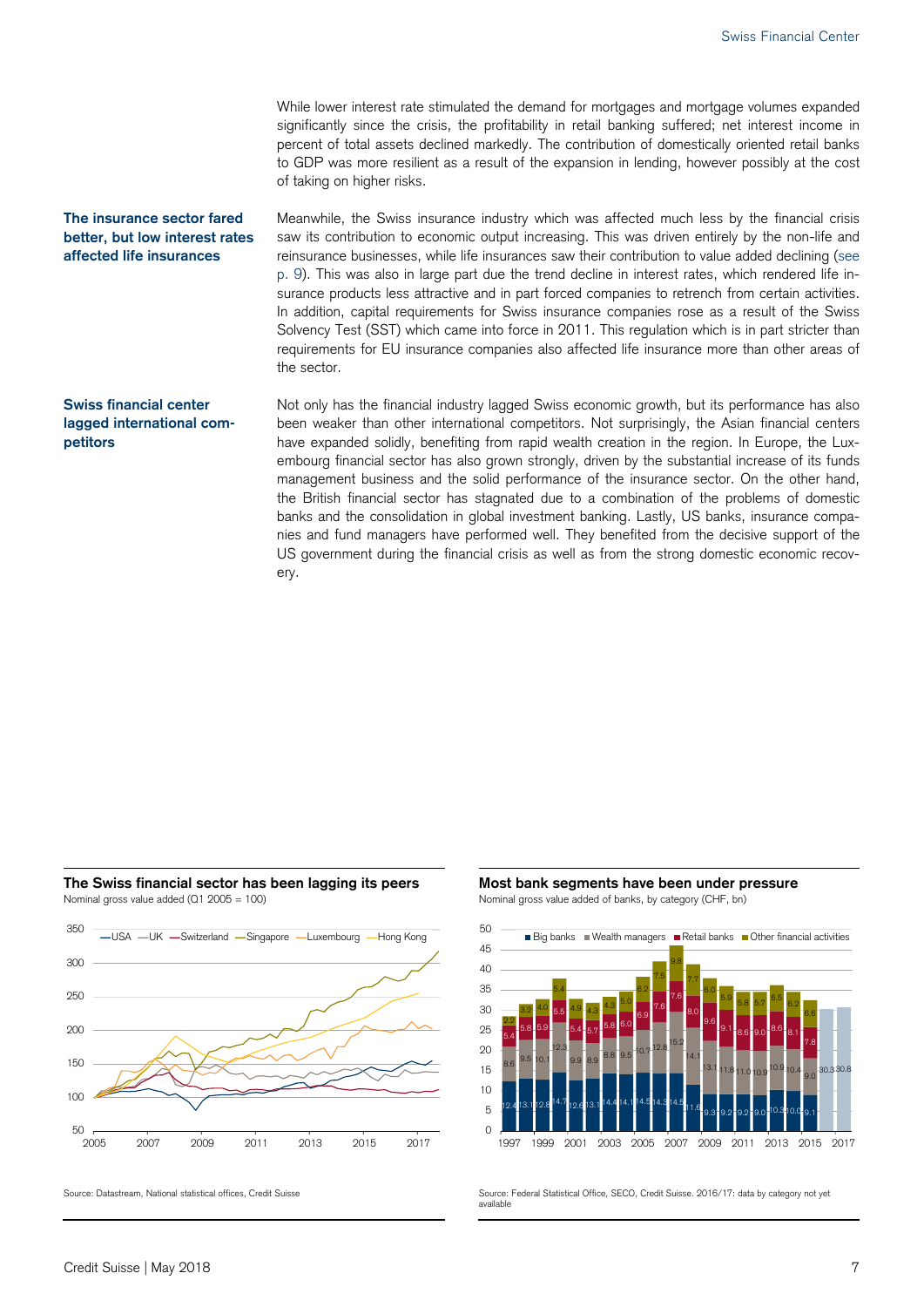While lower interest rate stimulated the demand for mortgages and mortgage volumes expanded significantly since the crisis, the profitability in retail banking suffered; net interest income in percent of total assets declined markedly. The contribution of domestically oriented retail banks to GDP was more resilient as a result of the expansion in lending, however possibly at the cost of taking on higher risks.

#### **The insurance sector fared better, but low interest rates affected life insurances**

Meanwhile, the Swiss insurance industry which was affected much less by the financial crisis saw its contribution to economic output increasing. This was driven entirely by the non-life and reinsurance businesses, while life insurances saw their contribution to value added declining (see p. 9). This was also in large part due the trend decline in interest rates, which rendered life insurance products less attractive and in part forced companies to retrench from certain activities. In addition, capital requirements for Swiss insurance companies rose as a result of the Swiss Solvency Test (SST) which came into force in 2011. This regulation which is in part stricter than requirements for EU insurance companies also affected life insurance more than other areas of the sector.

### **Swiss financial center lagged international competitors**

Not only has the financial industry lagged Swiss economic growth, but its performance has also been weaker than other international competitors. Not surprisingly, the Asian financial centers have expanded solidly, benefiting from rapid wealth creation in the region. In Europe, the Luxembourg financial sector has also grown strongly, driven by the substantial increase of its funds management business and the solid performance of the insurance sector. On the other hand, the British financial sector has stagnated due to a combination of the problems of domestic banks and the consolidation in global investment banking. Lastly, US banks, insurance companies and fund managers have performed well. They benefited from the decisive support of the US government during the financial crisis as well as from the strong domestic economic recovery.

#### **The Swiss financial sector has been lagging its peers Most bank segments have been under pressure**  Nominal gross value added (Q1 2005 = 100) Nominal gross value added of banks, by category (CHF, bn)





Source: Datastream, National statistical offices, Credit Suisse Source: Federal Statistical Office, SECO, Credit Suisse. 2016/17: data by category not yet available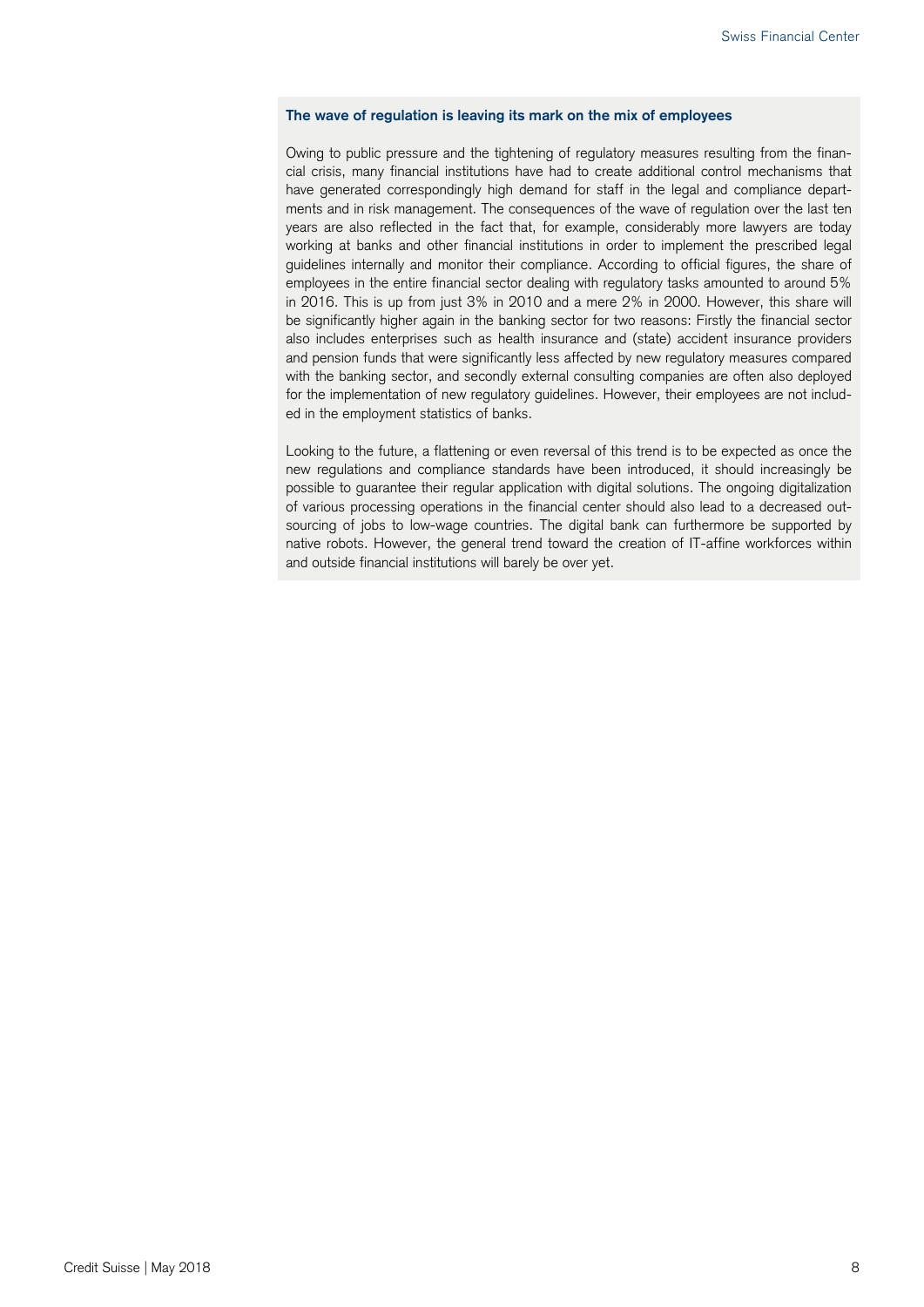#### **The wave of regulation is leaving its mark on the mix of employees**

Owing to public pressure and the tightening of regulatory measures resulting from the financial crisis, many financial institutions have had to create additional control mechanisms that have generated correspondingly high demand for staff in the legal and compliance departments and in risk management. The consequences of the wave of regulation over the last ten years are also reflected in the fact that, for example, considerably more lawyers are today working at banks and other financial institutions in order to implement the prescribed legal guidelines internally and monitor their compliance. According to official figures, the share of employees in the entire financial sector dealing with regulatory tasks amounted to around 5% in 2016. This is up from just 3% in 2010 and a mere 2% in 2000. However, this share will be significantly higher again in the banking sector for two reasons: Firstly the financial sector also includes enterprises such as health insurance and (state) accident insurance providers and pension funds that were significantly less affected by new regulatory measures compared with the banking sector, and secondly external consulting companies are often also deployed for the implementation of new regulatory guidelines. However, their employees are not included in the employment statistics of banks.

Looking to the future, a flattening or even reversal of this trend is to be expected as once the new regulations and compliance standards have been introduced, it should increasingly be possible to guarantee their regular application with digital solutions. The ongoing digitalization of various processing operations in the financial center should also lead to a decreased outsourcing of jobs to low-wage countries. The digital bank can furthermore be supported by native robots. However, the general trend toward the creation of IT-affine workforces within and outside financial institutions will barely be over yet.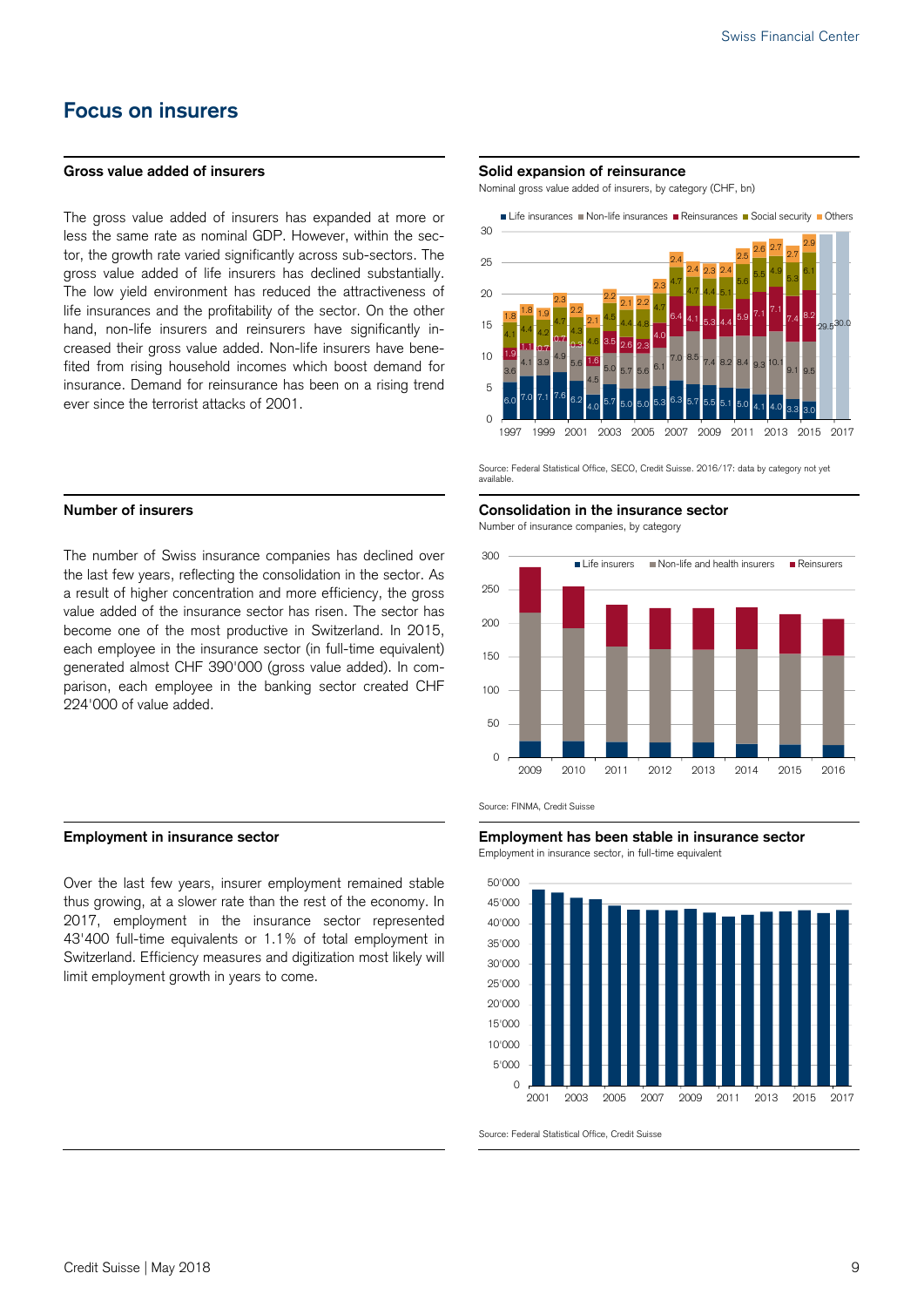## **Focus on insurers**

The gross value added of insurers has expanded at more or less the same rate as nominal GDP. However, within the sector, the growth rate varied significantly across sub-sectors. The gross value added of life insurers has declined substantially. The low yield environment has reduced the attractiveness of life insurances and the profitability of the sector. On the other hand, non-life insurers and reinsurers have significantly increased their gross value added. Non-life insurers have benefited from rising household incomes which boost demand for insurance. Demand for reinsurance has been on a rising trend ever since the terrorist attacks of 2001.

The number of Swiss insurance companies has declined over the last few years, reflecting the consolidation in the sector. As a result of higher concentration and more efficiency, the gross value added of the insurance sector has risen. The sector has become one of the most productive in Switzerland. In 2015, each employee in the insurance sector (in full-time equivalent) generated almost CHF 390'000 (gross value added). In comparison, each employee in the banking sector created CHF 224'000 of value added.

Over the last few years, insurer employment remained stable thus growing, at a slower rate than the rest of the economy. In 2017, employment in the insurance sector represented 43'400 full-time equivalents or 1.1% of total employment in Switzerland. Efficiency measures and digitization most likely will limit employment growth in years to come.

### Gross value added of insurers **Solid expansion of reinsurance**

Nominal gross value added of insurers, by category (CHF, bn)



 Source: Federal Statistical Office, SECO, Credit Suisse. 2016/17: data by category not yet available.

#### **Number of insurers Consolidation in the insurance sector**  Number of insurance companies, by category



Source: FINMA, Credit Suisse

**Employment in insurance sector Employment has been stable in insurance sector**  Employment in insurance sector, in full-time equivalent



Source: Federal Statistical Office, Credit Suisse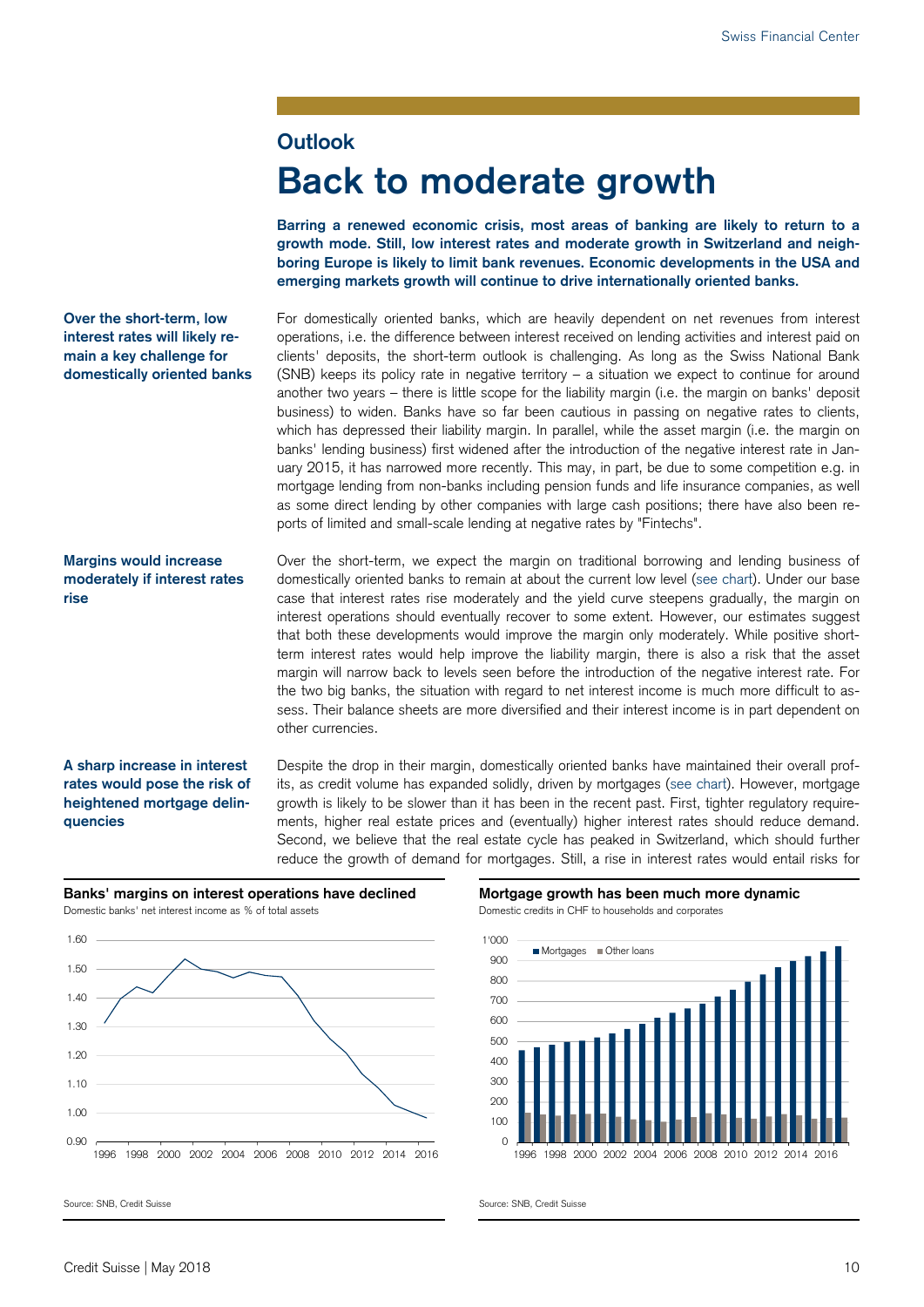### **Outlook**

# **Back to moderate growth**

**Barring a renewed economic crisis, most areas of banking are likely to return to a growth mode. Still, low interest rates and moderate growth in Switzerland and neighboring Europe is likely to limit bank revenues. Economic developments in the USA and emerging markets growth will continue to drive internationally oriented banks.** 

**Over the short-term, low interest rates will likely remain a key challenge for domestically oriented banks**  For domestically oriented banks, which are heavily dependent on net revenues from interest operations, i.e. the difference between interest received on lending activities and interest paid on clients' deposits, the short-term outlook is challenging. As long as the Swiss National Bank (SNB) keeps its policy rate in negative territory – a situation we expect to continue for around another two years – there is little scope for the liability margin (i.e. the margin on banks' deposit business) to widen. Banks have so far been cautious in passing on negative rates to clients, which has depressed their liability margin. In parallel, while the asset margin (i.e. the margin on banks' lending business) first widened after the introduction of the negative interest rate in January 2015, it has narrowed more recently. This may, in part, be due to some competition e.g. in mortgage lending from non-banks including pension funds and life insurance companies, as well as some direct lending by other companies with large cash positions; there have also been reports of limited and small-scale lending at negative rates by "Fintechs".

#### **Margins would increase moderately if interest rates rise**

Over the short-term, we expect the margin on traditional borrowing and lending business of domestically oriented banks to remain at about the current low level (see chart). Under our base case that interest rates rise moderately and the yield curve steepens gradually, the margin on interest operations should eventually recover to some extent. However, our estimates suggest that both these developments would improve the margin only moderately. While positive shortterm interest rates would help improve the liability margin, there is also a risk that the asset margin will narrow back to levels seen before the introduction of the negative interest rate. For the two big banks, the situation with regard to net interest income is much more difficult to assess. Their balance sheets are more diversified and their interest income is in part dependent on other currencies.

#### **A sharp increase in interest rates would pose the risk of heightened mortgage delinquencies**

Despite the drop in their margin, domestically oriented banks have maintained their overall profits, as credit volume has expanded solidly, driven by mortgages (see chart). However, mortgage growth is likely to be slower than it has been in the recent past. First, tighter regulatory requirements, higher real estate prices and (eventually) higher interest rates should reduce demand. Second, we believe that the real estate cycle has peaked in Switzerland, which should further reduce the growth of demand for mortgages. Still, a rise in interest rates would entail risks for







Source: SNB, Credit Suisse Source: SNB, Credit Suisse Source: SNB, Credit Suisse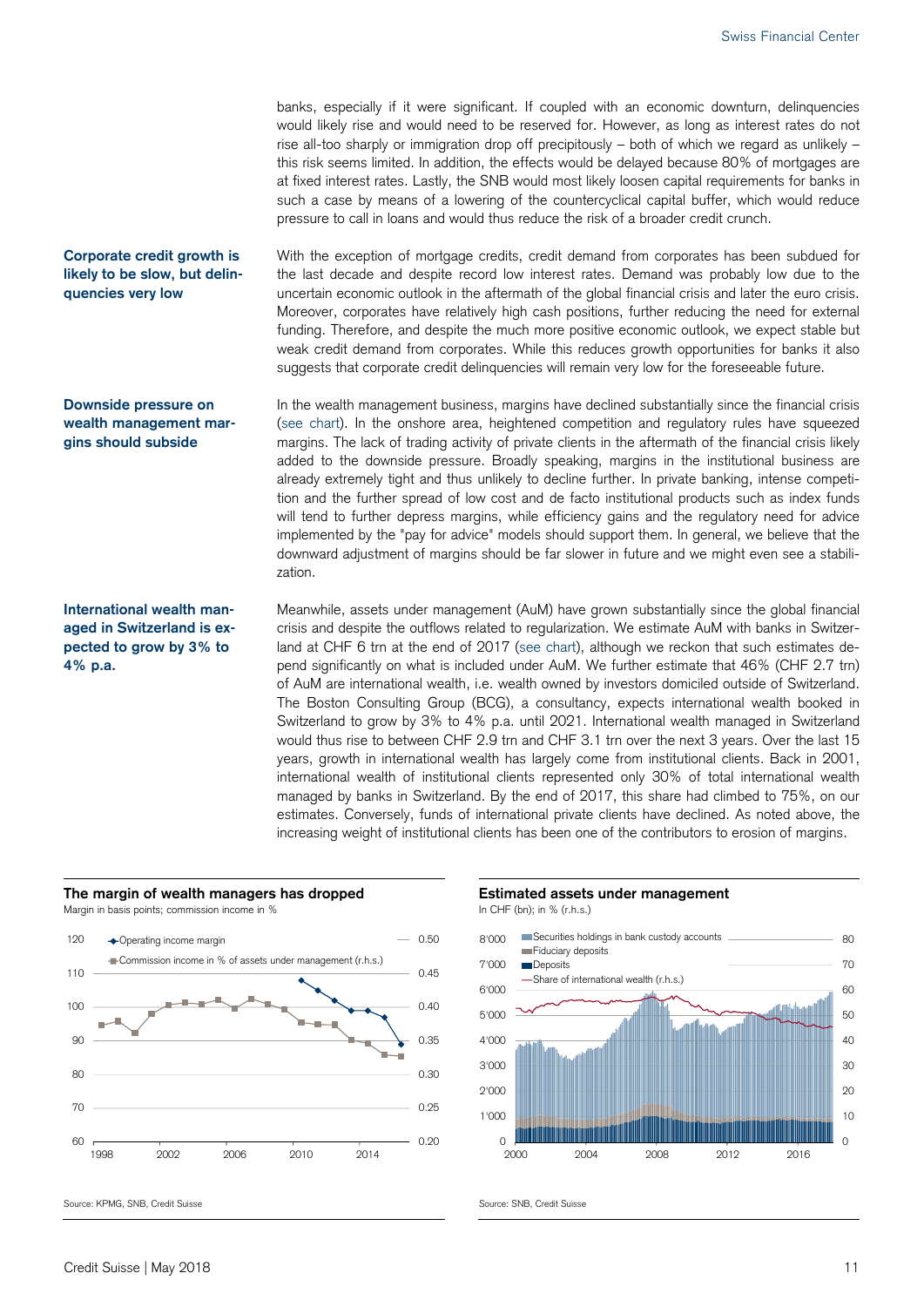banks, especially if it were significant. If coupled with an economic downturn, delinquencies would likely rise and would need to be reserved for. However, as long as interest rates do not rise all-too sharply or immigration drop off precipitously – both of which we regard as unlikely – this risk seems limited. In addition, the effects would be delayed because 80% of mortgages are at fixed interest rates. Lastly, the SNB would most likely loosen capital requirements for banks in such a case by means of a lowering of the countercyclical capital buffer, which would reduce pressure to call in loans and would thus reduce the risk of a broader credit crunch.

With the exception of mortgage credits, credit demand from corporates has been subdued for the last decade and despite record low interest rates. Demand was probably low due to the uncertain economic outlook in the aftermath of the global financial crisis and later the euro crisis. Moreover, corporates have relatively high cash positions, further reducing the need for external funding. Therefore, and despite the much more positive economic outlook, we expect stable but weak credit demand from corporates. While this reduces growth opportunities for banks it also suggests that corporate credit delinquencies will remain very low for the foreseeable future. **Corporate credit growth is** 

> In the wealth management business, margins have declined substantially since the financial crisis (see chart). In the onshore area, heightened competition and regulatory rules have squeezed margins. The lack of trading activity of private clients in the aftermath of the financial crisis likely added to the downside pressure. Broadly speaking, margins in the institutional business are already extremely tight and thus unlikely to decline further. In private banking, intense competition and the further spread of low cost and de facto institutional products such as index funds will tend to further depress margins, while efficiency gains and the regulatory need for advice implemented by the "pay for advice" models should support them. In general, we believe that the downward adjustment of margins should be far slower in future and we might even see a stabilization.

> Meanwhile, assets under management (AuM) have grown substantially since the global financial crisis and despite the outflows related to regularization. We estimate AuM with banks in Switzerland at CHF 6 trn at the end of 2017 (see chart), although we reckon that such estimates depend significantly on what is included under AuM. We further estimate that 46% (CHF 2.7 trn) of AuM are international wealth, i.e. wealth owned by investors domiciled outside of Switzerland. The Boston Consulting Group (BCG), a consultancy, expects international wealth booked in Switzerland to grow by 3% to 4% p.a. until 2021. International wealth managed in Switzerland would thus rise to between CHF 2.9 trn and CHF 3.1 trn over the next 3 years. Over the last 15 years, growth in international wealth has largely come from institutional clients. Back in 2001, international wealth of institutional clients represented only 30% of total international wealth managed by banks in Switzerland. By the end of 2017, this share had climbed to 75%, on our estimates. Conversely, funds of international private clients have declined. As noted above, the increasing weight of institutional clients has been one of the contributors to erosion of margins.

**likely to be slow, but delinquencies very low** 

**Downside pressure on wealth management margins should subside** 

**International wealth managed in Switzerland is expected to grow by 3% to 4% p.a.** 







Source: KPMG, SNB, Credit Suisse Source: SNB, Credit Suisse Source: SNB, Credit Suisse

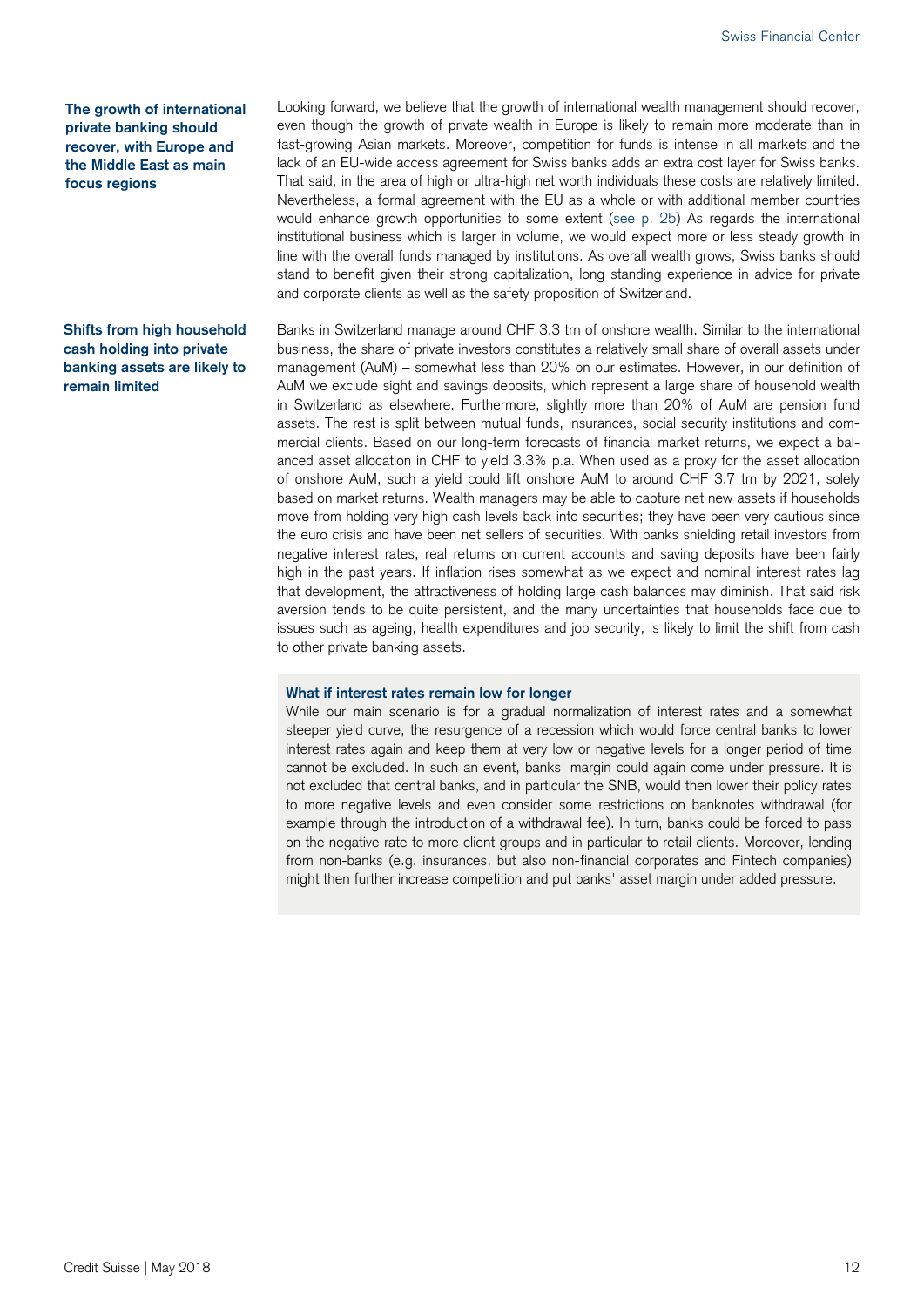**The growth of international private banking should recover, with Europe and the Middle East as main focus regions** 

#### **Shifts from high household cash holding into private banking assets are likely to remain limited**

Looking forward, we believe that the growth of international wealth management should recover, even though the growth of private wealth in Europe is likely to remain more moderate than in fast-growing Asian markets. Moreover, competition for funds is intense in all markets and the lack of an EU-wide access agreement for Swiss banks adds an extra cost layer for Swiss banks. That said, in the area of high or ultra-high net worth individuals these costs are relatively limited. Nevertheless, a formal agreement with the EU as a whole or with additional member countries would enhance growth opportunities to some extent (see p. 25) As regards the international institutional business which is larger in volume, we would expect more or less steady growth in line with the overall funds managed by institutions. As overall wealth grows, Swiss banks should stand to benefit given their strong capitalization, long standing experience in advice for private and corporate clients as well as the safety proposition of Switzerland.

Banks in Switzerland manage around CHF 3.3 trn of onshore wealth. Similar to the international business, the share of private investors constitutes a relatively small share of overall assets under management (AuM) – somewhat less than 20% on our estimates. However, in our definition of AuM we exclude sight and savings deposits, which represent a large share of household wealth in Switzerland as elsewhere. Furthermore, slightly more than 20% of AuM are pension fund assets. The rest is split between mutual funds, insurances, social security institutions and commercial clients. Based on our long-term forecasts of financial market returns, we expect a balanced asset allocation in CHF to yield 3.3% p.a. When used as a proxy for the asset allocation of onshore AuM, such a yield could lift onshore AuM to around CHF 3.7 trn by 2021, solely based on market returns. Wealth managers may be able to capture net new assets if households move from holding very high cash levels back into securities; they have been very cautious since the euro crisis and have been net sellers of securities. With banks shielding retail investors from negative interest rates, real returns on current accounts and saving deposits have been fairly high in the past years. If inflation rises somewhat as we expect and nominal interest rates lag that development, the attractiveness of holding large cash balances may diminish. That said risk aversion tends to be quite persistent, and the many uncertainties that households face due to issues such as ageing, health expenditures and job security, is likely to limit the shift from cash to other private banking assets.

#### **What if interest rates remain low for longer**

While our main scenario is for a gradual normalization of interest rates and a somewhat steeper yield curve, the resurgence of a recession which would force central banks to lower interest rates again and keep them at very low or negative levels for a longer period of time cannot be excluded. In such an event, banks' margin could again come under pressure. It is not excluded that central banks, and in particular the SNB, would then lower their policy rates to more negative levels and even consider some restrictions on banknotes withdrawal (for example through the introduction of a withdrawal fee). In turn, banks could be forced to pass on the negative rate to more client groups and in particular to retail clients. Moreover, lending from non-banks (e.g. insurances, but also non-financial corporates and Fintech companies) might then further increase competition and put banks' asset margin under added pressure.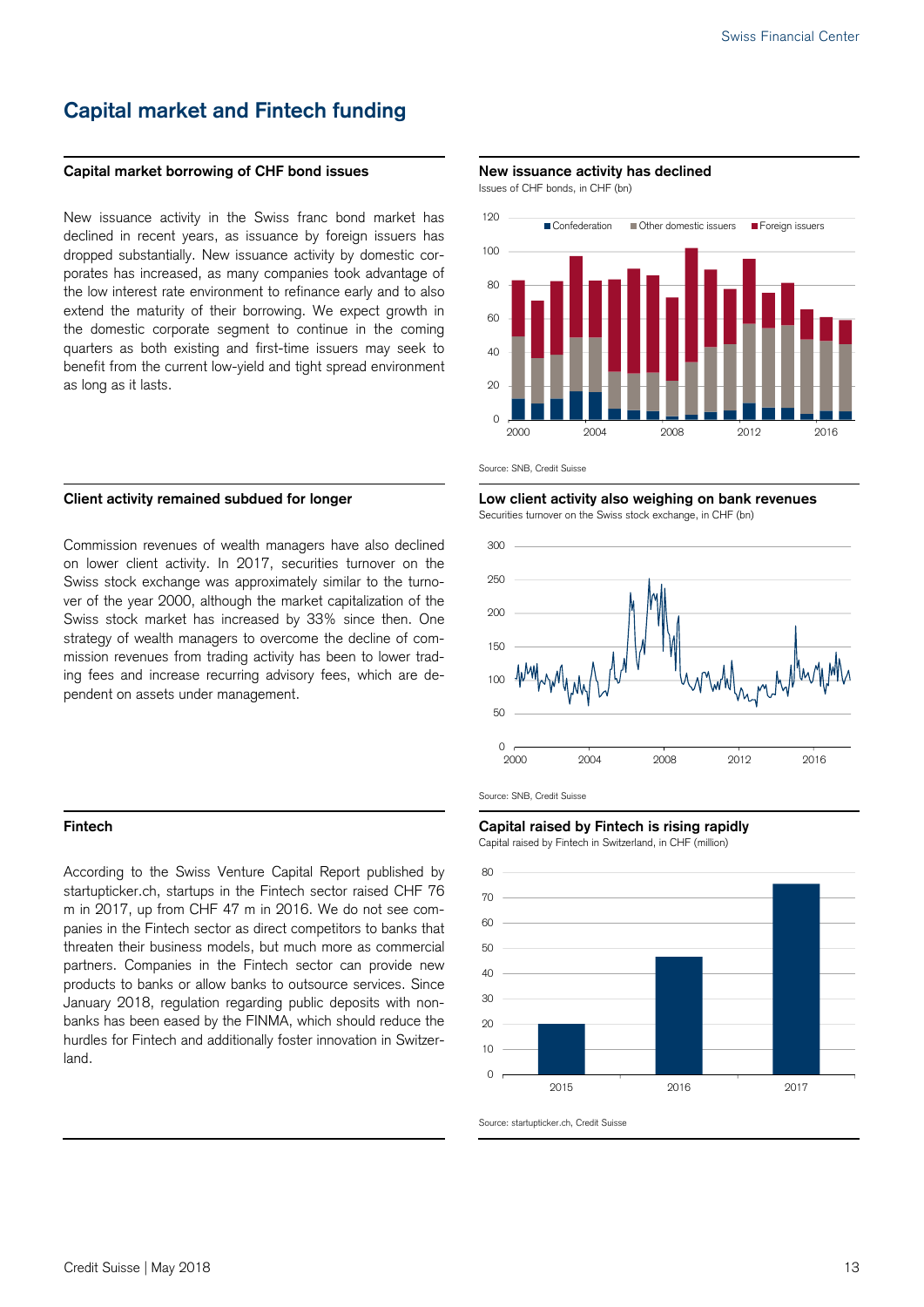## **Capital market and Fintech funding**

#### Capital market borrowing of CHF bond issues **New issuance activity has declined**

New issuance activity in the Swiss franc bond market has declined in recent vears, as issuance by foreign issuers has dropped substantially. New issuance activity by domestic corporates has increased, as many companies took advantage of the low interest rate environment to refinance early and to also extend the maturity of their borrowing. We expect growth in the domestic corporate segment to continue in the coming quarters as both existing and first-time issuers may seek to benefit from the current low-yield and tight spread environment as long as it lasts.

Commission revenues of wealth managers have also declined on lower client activity. In 2017, securities turnover on the Swiss stock exchange was approximately similar to the turnover of the year 2000, although the market capitalization of the Swiss stock market has increased by 33% since then. One strategy of wealth managers to overcome the decline of commission revenues from trading activity has been to lower trading fees and increase recurring advisory fees, which are dependent on assets under management.

According to the Swiss Venture Capital Report published by startupticker.ch, startups in the Fintech sector raised CHF 76 m in 2017, up from CHF 47 m in 2016. We do not see companies in the Fintech sector as direct competitors to banks that threaten their business models, but much more as commercial partners. Companies in the Fintech sector can provide new products to banks or allow banks to outsource services. Since January 2018, regulation regarding public deposits with nonbanks has been eased by the FINMA, which should reduce the hurdles for Fintech and additionally foster innovation in Switzerland.

Issues of CHF bonds, in CHF (bn)



Source: SNB, Credit Suisse

Client activity remained subdued for longer **Low Client activity also weighing on bank revenues** Securities turnover on the Swiss stock exchange, in CHF (bn)



Source: SNB, Credit Suisse

#### **Fintech Capital raised by Fintech is rising rapidly**

Capital raised by Fintech in Switzerland, in CHF (million)

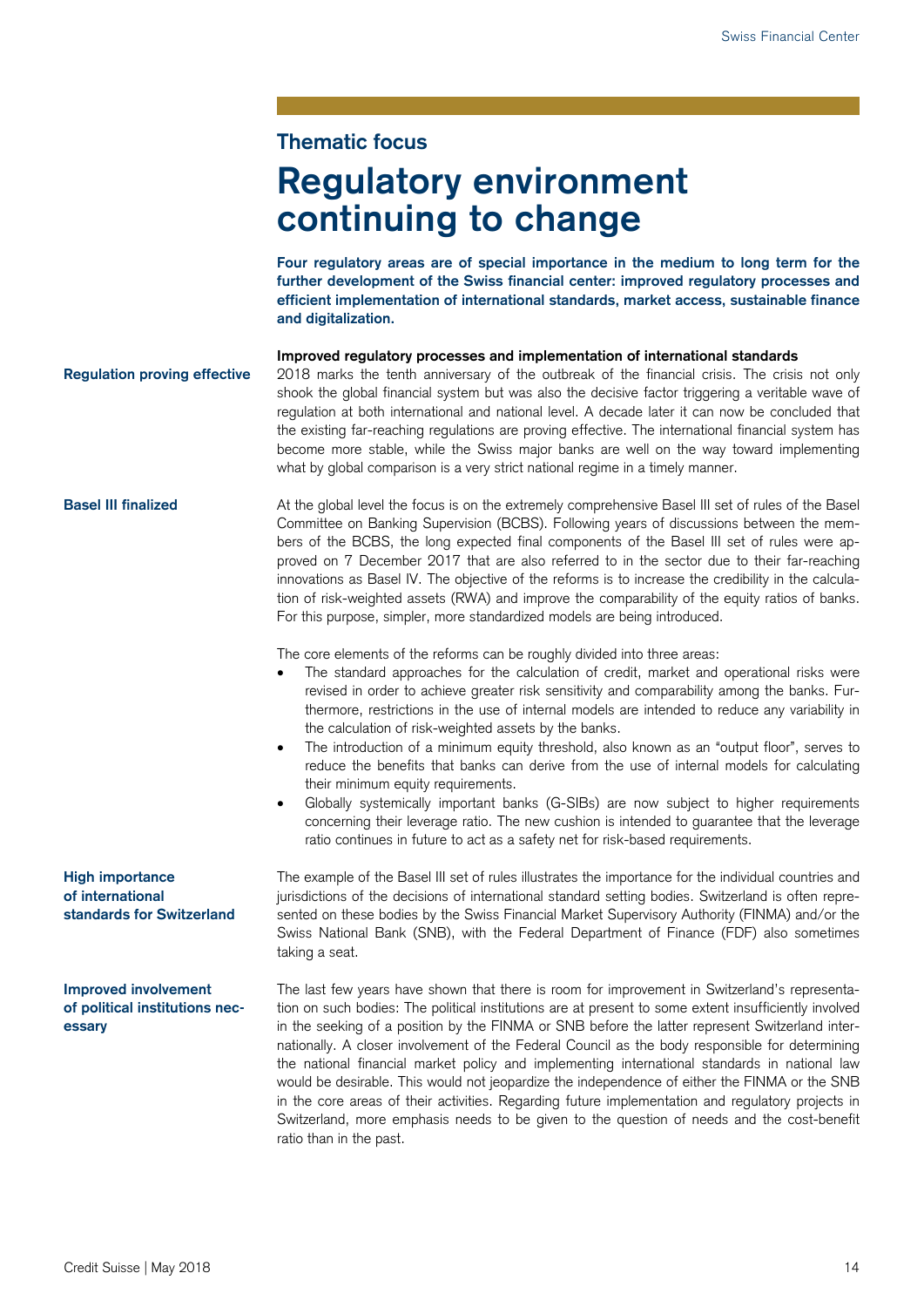### **Thematic focus**

# **Regulatory environment continuing to change**

**Four regulatory areas are of special importance in the medium to long term for the further development of the Swiss financial center: improved regulatory processes and efficient implementation of international standards, market access, sustainable finance and digitalization.** 

**Improved regulatory processes and implementation of international standards**  2018 marks the tenth anniversary of the outbreak of the financial crisis. The crisis not only shook the global financial system but was also the decisive factor triggering a veritable wave of regulation at both international and national level. A decade later it can now be concluded that the existing far-reaching regulations are proving effective. The international financial system has become more stable, while the Swiss major banks are well on the way toward implementing what by global comparison is a very strict national regime in a timely manner. **Regulation proving effective** 

At the global level the focus is on the extremely comprehensive Basel III set of rules of the Basel Committee on Banking Supervision (BCBS). Following years of discussions between the members of the BCBS, the long expected final components of the Basel III set of rules were approved on 7 December 2017 that are also referred to in the sector due to their far-reaching innovations as Basel IV. The objective of the reforms is to increase the credibility in the calculation of risk-weighted assets (RWA) and improve the comparability of the equity ratios of banks. For this purpose, simpler, more standardized models are being introduced. **Basel III finalized** 

The core elements of the reforms can be roughly divided into three areas:

- The standard approaches for the calculation of credit, market and operational risks were revised in order to achieve greater risk sensitivity and comparability among the banks. Furthermore, restrictions in the use of internal models are intended to reduce any variability in the calculation of risk-weighted assets by the banks.
- The introduction of a minimum equity threshold, also known as an "output floor", serves to reduce the benefits that banks can derive from the use of internal models for calculating their minimum equity requirements.
- Globally systemically important banks (G-SIBs) are now subject to higher requirements concerning their leverage ratio. The new cushion is intended to guarantee that the leverage ratio continues in future to act as a safety net for risk-based requirements.

The example of the Basel III set of rules illustrates the importance for the individual countries and jurisdictions of the decisions of international standard setting bodies. Switzerland is often represented on these bodies by the Swiss Financial Market Supervisory Authority (FINMA) and/or the Swiss National Bank (SNB), with the Federal Department of Finance (FDF) also sometimes taking a seat.

The last few years have shown that there is room for improvement in Switzerland's representation on such bodies: The political institutions are at present to some extent insufficiently involved in the seeking of a position by the FINMA or SNB before the latter represent Switzerland internationally. A closer involvement of the Federal Council as the body responsible for determining the national financial market policy and implementing international standards in national law would be desirable. This would not jeopardize the independence of either the FINMA or the SNB in the core areas of their activities. Regarding future implementation and regulatory projects in Switzerland, more emphasis needs to be given to the question of needs and the cost-benefit ratio than in the past.

**High importance of international standards for Switzerland** 

**Improved involvement of political institutions necessary**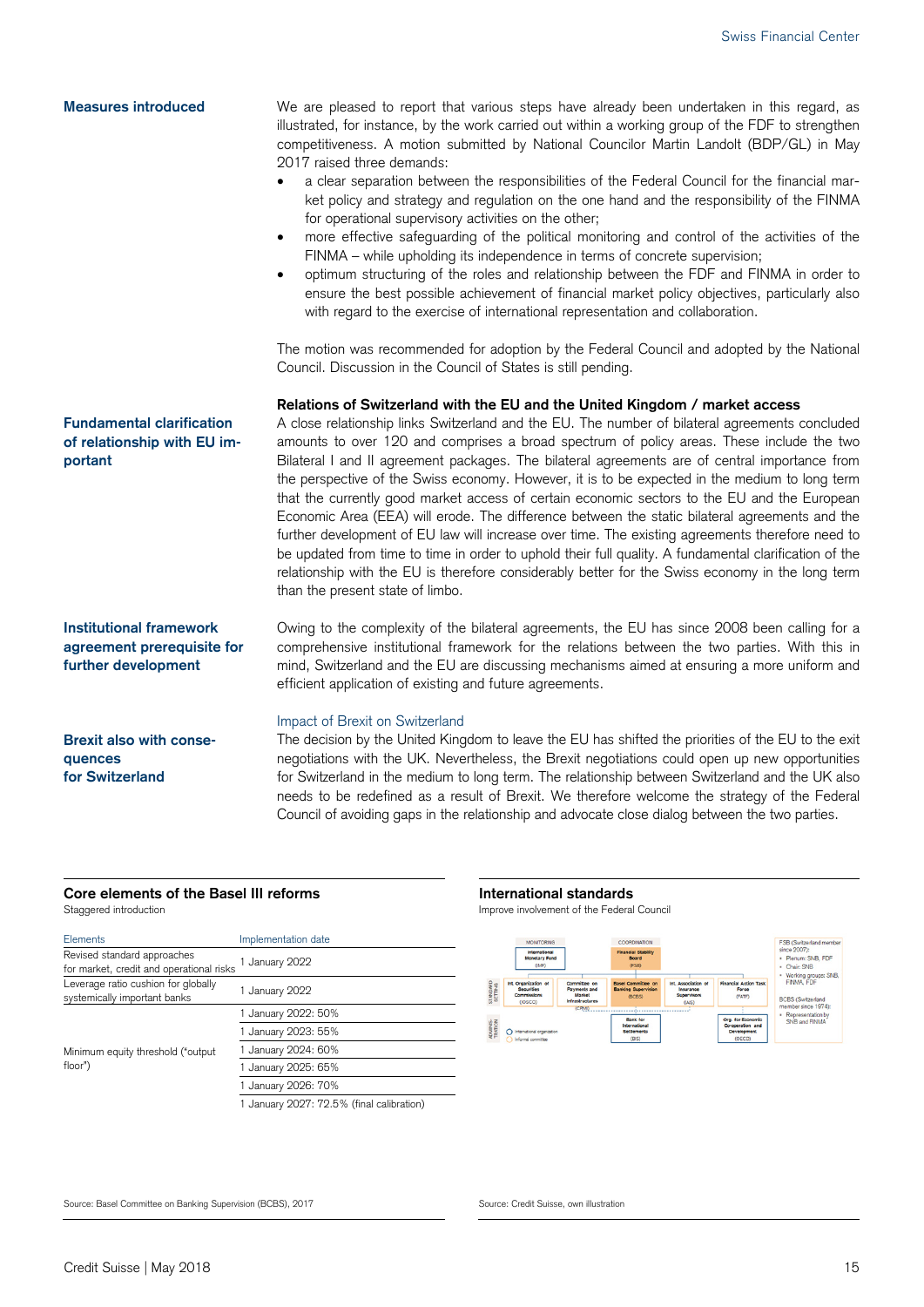#### We are pleased to report that various steps have already been undertaken in this regard, as illustrated, for instance, by the work carried out within a working group of the FDF to strengthen competitiveness. A motion submitted by National Councilor Martin Landolt (BDP/GL) in May 2017 raised three demands: a clear separation between the responsibilities of the Federal Council for the financial market policy and strategy and regulation on the one hand and the responsibility of the FINMA for operational supervisory activities on the other; more effective safeguarding of the political monitoring and control of the activities of the FINMA – while upholding its independence in terms of concrete supervision; optimum structuring of the roles and relationship between the FDF and FINMA in order to ensure the best possible achievement of financial market policy objectives, particularly also with regard to the exercise of international representation and collaboration. The motion was recommended for adoption by the Federal Council and adopted by the National Council. Discussion in the Council of States is still pending. **Relations of Switzerland with the EU and the United Kingdom / market access**  A close relationship links Switzerland and the EU. The number of bilateral agreements concluded amounts to over 120 and comprises a broad spectrum of policy areas. These include the two Bilateral I and II agreement packages. The bilateral agreements are of central importance from the perspective of the Swiss economy. However, it is to be expected in the medium to long term that the currently good market access of certain economic sectors to the EU and the European Economic Area (EEA) will erode. The difference between the static bilateral agreements and the further development of EU law will increase over time. The existing agreements therefore need to be updated from time to time in order to uphold their full quality. A fundamental clarification of the relationship with the EU is therefore considerably better for the Swiss economy in the long term than the present state of limbo. Owing to the complexity of the bilateral agreements, the EU has since 2008 been calling for a comprehensive institutional framework for the relations between the two parties. With this in mind, Switzerland and the EU are discussing mechanisms aimed at ensuring a more uniform and efficient application of existing and future agreements. Impact of Brexit on Switzerland **Measures introduced Fundamental clarification of relationship with EU important Institutional framework agreement prerequisite for further development Brexit also with conse-**

**quences for Switzerland** 

### The decision by the United Kingdom to leave the EU has shifted the priorities of the EU to the exit negotiations with the UK. Nevertheless, the Brexit negotiations could open up new opportunities for Switzerland in the medium to long term. The relationship between Switzerland and the UK also needs to be redefined as a result of Brexit. We therefore welcome the strategy of the Federal Council of avoiding gaps in the relationship and advocate close dialog between the two parties.

### **Core elements of the Basel III reforms International standards**

| Staggered introduction |  |
|------------------------|--|
|------------------------|--|

| Elements                                                                | Implementation date                       |
|-------------------------------------------------------------------------|-------------------------------------------|
| Revised standard approaches<br>for market, credit and operational risks | 1 January 2022                            |
| Leverage ratio cushion for globally<br>systemically important banks     | 1 January 2022                            |
| Minimum equity threshold ("output<br>floor")                            | 1 January 2022: 50%                       |
|                                                                         | 1 January 2023: 55%                       |
|                                                                         | 1 January 2024: 60%                       |
|                                                                         | 1 January 2025: 65%                       |
|                                                                         | 1 January 2026: 70%                       |
|                                                                         | 1 January 2027: 72.5% (final calibration) |

Improve involvement of the Federal Council



Source: Basel Committee on Banking Supervision (BCBS), 2017 Source: Credit Suisse, own illustration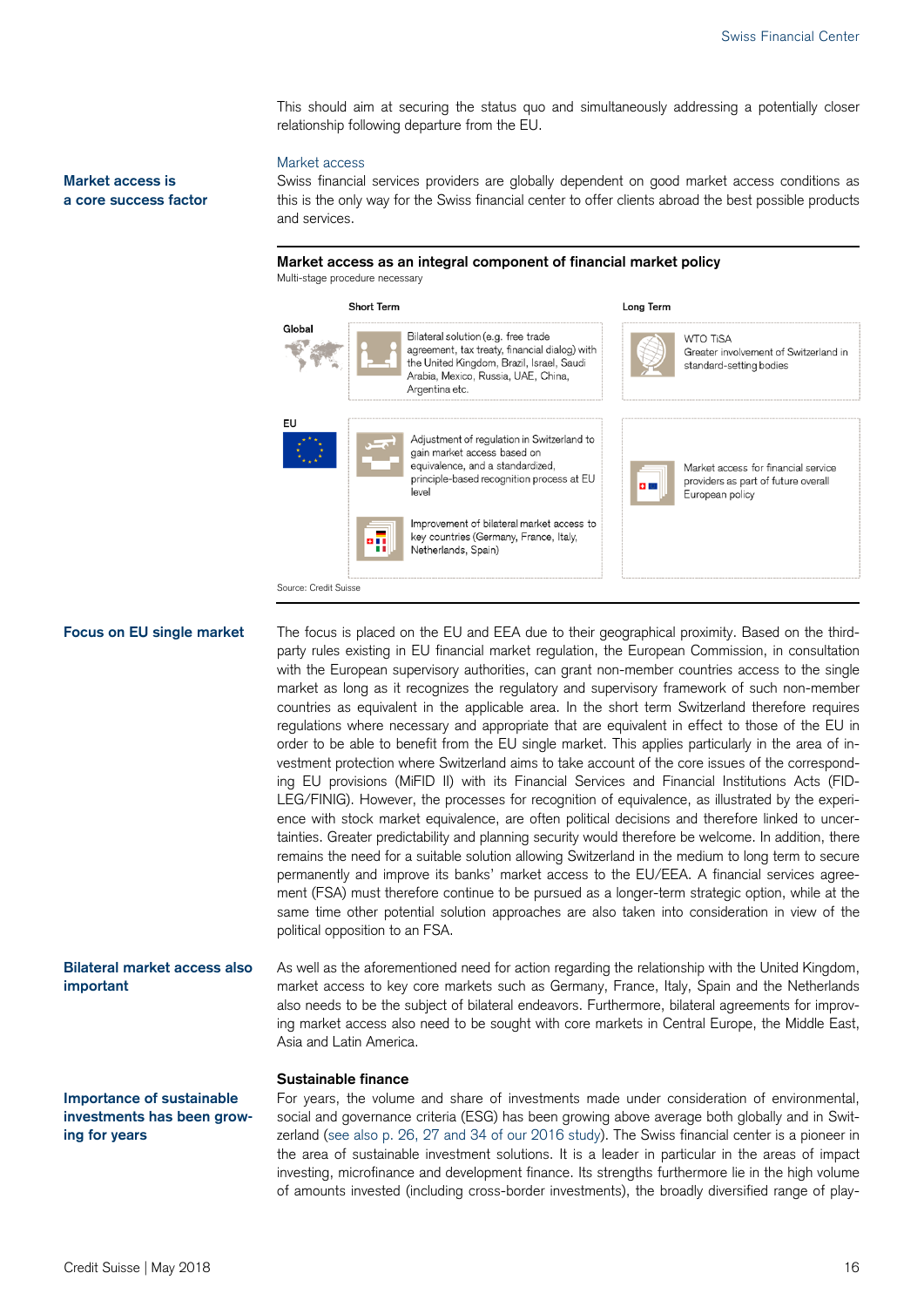This should aim at securing the status quo and simultaneously addressing a potentially closer relationship following departure from the EU.

#### Market access

Swiss financial services providers are globally dependent on good market access conditions as this is the only way for the Swiss financial center to offer clients abroad the best possible products and services.

**Market access as an integral component of financial market policy**  Multi-stage procedure necessary



#### **Focus on EU single market**

The focus is placed on the EU and EEA due to their geographical proximity. Based on the thirdparty rules existing in EU financial market regulation, the European Commission, in consultation with the European supervisory authorities, can grant non-member countries access to the single market as long as it recognizes the regulatory and supervisory framework of such non-member countries as equivalent in the applicable area. In the short term Switzerland therefore requires regulations where necessary and appropriate that are equivalent in effect to those of the EU in order to be able to benefit from the EU single market. This applies particularly in the area of investment protection where Switzerland aims to take account of the core issues of the corresponding EU provisions (MiFID II) with its Financial Services and Financial Institutions Acts (FID-LEG/FINIG). However, the processes for recognition of equivalence, as illustrated by the experience with stock market equivalence, are often political decisions and therefore linked to uncertainties. Greater predictability and planning security would therefore be welcome. In addition, there remains the need for a suitable solution allowing Switzerland in the medium to long term to secure permanently and improve its banks' market access to the EU/EEA. A financial services agreement (FSA) must therefore continue to be pursued as a longer-term strategic option, while at the same time other potential solution approaches are also taken into consideration in view of the political opposition to an FSA.

As well as the aforementioned need for action regarding the relationship with the United Kingdom, market access to key core markets such as Germany, France, Italy, Spain and the Netherlands also needs to be the subject of bilateral endeavors. Furthermore, bilateral agreements for improving market access also need to be sought with core markets in Central Europe, the Middle East, Asia and Latin America. **Bilateral market access also important** 

#### **Sustainable finance**

**Importance of sustainable investments has been growing for years** 

For years, the volume and share of investments made under consideration of environmental, social and governance criteria (ESG) has been growing above average both globally and in Switzerland (see also p. 26, 27 and 34 of our 2016 study). The Swiss financial center is a pioneer in the area of sustainable investment solutions. It is a leader in particular in the areas of impact investing, microfinance and development finance. Its strengths furthermore lie in the high volume of amounts invested (including cross-border investments), the broadly diversified range of play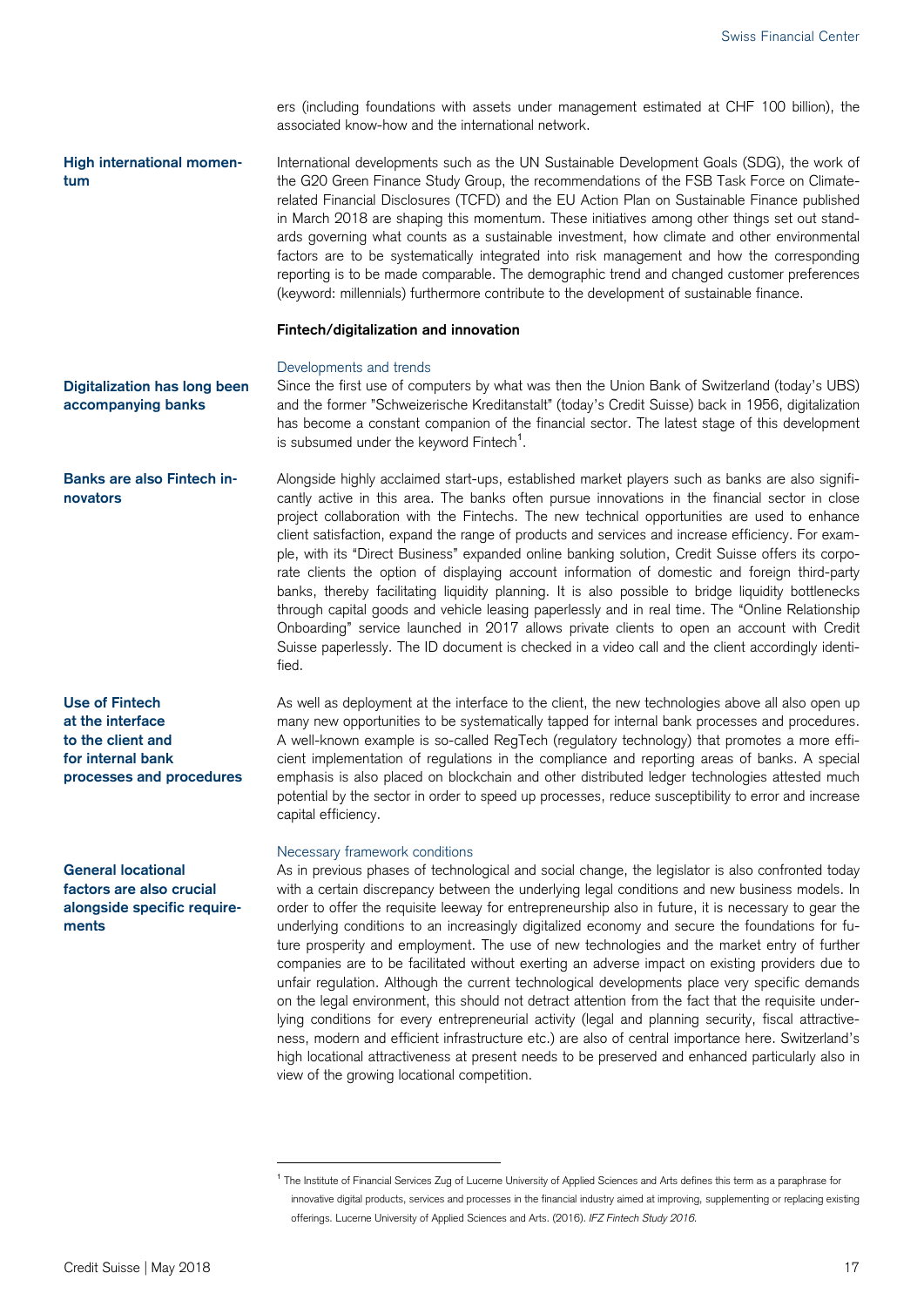ers (including foundations with assets under management estimated at CHF 100 billion), the associated know-how and the international network.

International developments such as the UN Sustainable Development Goals (SDG), the work of the G20 Green Finance Study Group, the recommendations of the FSB Task Force on Climaterelated Financial Disclosures (TCFD) and the EU Action Plan on Sustainable Finance published in March 2018 are shaping this momentum. These initiatives among other things set out standards governing what counts as a sustainable investment, how climate and other environmental factors are to be systematically integrated into risk management and how the corresponding reporting is to be made comparable. The demographic trend and changed customer preferences (keyword: millennials) furthermore contribute to the development of sustainable finance. **High international momentum** 

#### **Fintech/digitalization and innovation**

#### Developments and trends

Since the first use of computers by what was then the Union Bank of Switzerland (today's UBS) and the former "Schweizerische Kreditanstalt" (today's Credit Suisse) back in 1956, digitalization has become a constant companion of the financial sector. The latest stage of this development is subsumed under the keyword  $\mathsf{Finter}^1$ . **Digitalization has long been accompanying banks** 

Alongside highly acclaimed start-ups, established market players such as banks are also significantly active in this area. The banks often pursue innovations in the financial sector in close project collaboration with the Fintechs. The new technical opportunities are used to enhance client satisfaction, expand the range of products and services and increase efficiency. For example, with its "Direct Business" expanded online banking solution, Credit Suisse offers its corporate clients the option of displaying account information of domestic and foreign third-party banks, thereby facilitating liquidity planning. It is also possible to bridge liquidity bottlenecks through capital goods and vehicle leasing paperlessly and in real time. The "Online Relationship Onboarding" service launched in 2017 allows private clients to open an account with Credit Suisse paperlessly. The ID document is checked in a video call and the client accordingly identified. **Banks are also Fintech innovators** 

**Use of Fintech at the interface to the client and for internal bank processes and procedures** 

**General locational factors are also crucial alongside specific requirements** 

As well as deployment at the interface to the client, the new technologies above all also open up many new opportunities to be systematically tapped for internal bank processes and procedures. A well-known example is so-called RegTech (regulatory technology) that promotes a more efficient implementation of regulations in the compliance and reporting areas of banks. A special emphasis is also placed on blockchain and other distributed ledger technologies attested much potential by the sector in order to speed up processes, reduce susceptibility to error and increase capital efficiency.

#### Necessary framework conditions

-

As in previous phases of technological and social change, the legislator is also confronted today with a certain discrepancy between the underlying legal conditions and new business models. In order to offer the requisite leeway for entrepreneurship also in future, it is necessary to gear the underlying conditions to an increasingly digitalized economy and secure the foundations for future prosperity and employment. The use of new technologies and the market entry of further companies are to be facilitated without exerting an adverse impact on existing providers due to unfair regulation. Although the current technological developments place very specific demands on the legal environment, this should not detract attention from the fact that the requisite underlying conditions for every entrepreneurial activity (legal and planning security, fiscal attractiveness, modern and efficient infrastructure etc.) are also of central importance here. Switzerland's high locational attractiveness at present needs to be preserved and enhanced particularly also in view of the growing locational competition.

<sup>&</sup>lt;sup>1</sup> The Institute of Financial Services Zug of Lucerne University of Applied Sciences and Arts defines this term as a paraphrase for innovative digital products, services and processes in the financial industry aimed at improving, supplementing or replacing existing offerings. Lucerne University of Applied Sciences and Arts. (2016). *IFZ Fintech Study 2016.*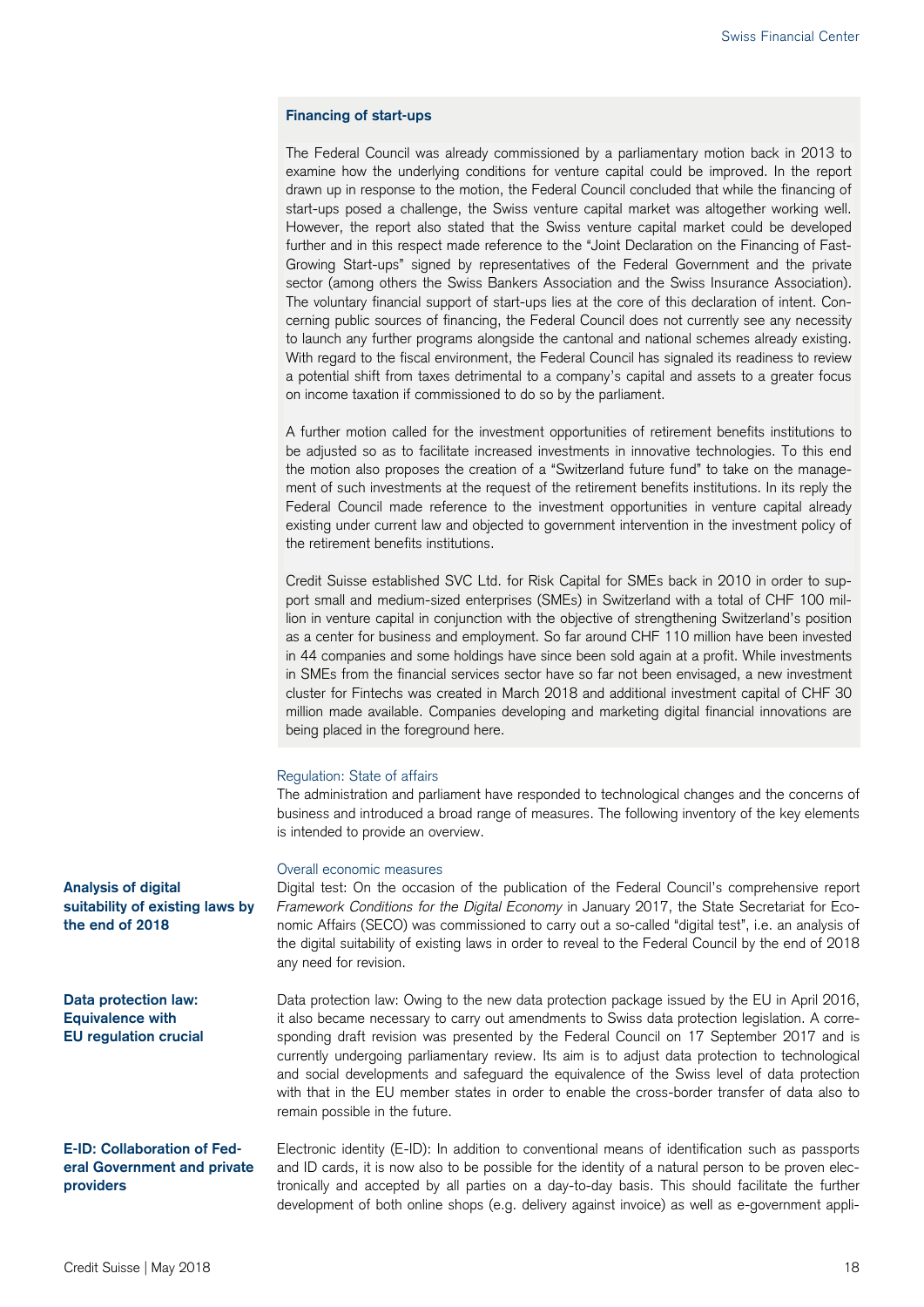#### **Financing of start-ups**

The Federal Council was already commissioned by a parliamentary motion back in 2013 to examine how the underlying conditions for venture capital could be improved. In the report drawn up in response to the motion, the Federal Council concluded that while the financing of start-ups posed a challenge, the Swiss venture capital market was altogether working well. However, the report also stated that the Swiss venture capital market could be developed further and in this respect made reference to the "Joint Declaration on the Financing of Fast-Growing Start-ups" signed by representatives of the Federal Government and the private sector (among others the Swiss Bankers Association and the Swiss Insurance Association). The voluntary financial support of start-ups lies at the core of this declaration of intent. Concerning public sources of financing, the Federal Council does not currently see any necessity to launch any further programs alongside the cantonal and national schemes already existing. With regard to the fiscal environment, the Federal Council has signaled its readiness to review a potential shift from taxes detrimental to a company's capital and assets to a greater focus on income taxation if commissioned to do so by the parliament.

A further motion called for the investment opportunities of retirement benefits institutions to be adjusted so as to facilitate increased investments in innovative technologies. To this end the motion also proposes the creation of a "Switzerland future fund" to take on the management of such investments at the request of the retirement benefits institutions. In its reply the Federal Council made reference to the investment opportunities in venture capital already existing under current law and objected to government intervention in the investment policy of the retirement benefits institutions.

Credit Suisse established SVC Ltd. for Risk Capital for SMEs back in 2010 in order to support small and medium-sized enterprises (SMEs) in Switzerland with a total of CHF 100 million in venture capital in conjunction with the objective of strengthening Switzerland's position as a center for business and employment. So far around CHF 110 million have been invested in 44 companies and some holdings have since been sold again at a profit. While investments in SMEs from the financial services sector have so far not been envisaged, a new investment cluster for Fintechs was created in March 2018 and additional investment capital of CHF 30 million made available. Companies developing and marketing digital financial innovations are being placed in the foreground here.

#### Regulation: State of affairs

The administration and parliament have responded to technological changes and the concerns of business and introduced a broad range of measures. The following inventory of the key elements is intended to provide an overview.

#### Overall economic measures

| <b>Analysis of digital</b><br>suitability of existing laws by<br>the end of 2018 | Digital test: On the occasion of the publication of the Federal Council's comprehensive report<br>Framework Conditions for the Digital Economy in January 2017, the State Secretariat for Eco-<br>nomic Affairs (SECO) was commissioned to carry out a so-called "digital test", i.e. an analysis of<br>the digital suitability of existing laws in order to reveal to the Federal Council by the end of 2018<br>any need for revision.                                                                                                                                                                                             |
|----------------------------------------------------------------------------------|-------------------------------------------------------------------------------------------------------------------------------------------------------------------------------------------------------------------------------------------------------------------------------------------------------------------------------------------------------------------------------------------------------------------------------------------------------------------------------------------------------------------------------------------------------------------------------------------------------------------------------------|
| Data protection law:<br><b>Equivalence with</b><br><b>EU</b> regulation crucial  | Data protection law: Owing to the new data protection package issued by the EU in April 2016,<br>it also became necessary to carry out amendments to Swiss data protection legislation. A corre-<br>sponding draft revision was presented by the Federal Council on 17 September 2017 and is<br>currently undergoing parliamentary review. Its aim is to adjust data protection to technological<br>and social developments and safeguard the equivalence of the Swiss level of data protection<br>with that in the EU member states in order to enable the cross-border transfer of data also to<br>remain possible in the future. |
| <b>E-ID: Collaboration of Fed-</b><br>eral Government and private                | Electronic identity (E-ID): In addition to conventional means of identification such as passports<br>and ID cards it is now also to be possible for the identity of a natural person to be proven elec-                                                                                                                                                                                                                                                                                                                                                                                                                             |

## **eral Government and private providers**

and ID cards, it is now also to be possible for the identity of a natural person to be proven electronically and accepted by all parties on a day-to-day basis. This should facilitate the further development of both online shops (e.g. delivery against invoice) as well as e-government appli-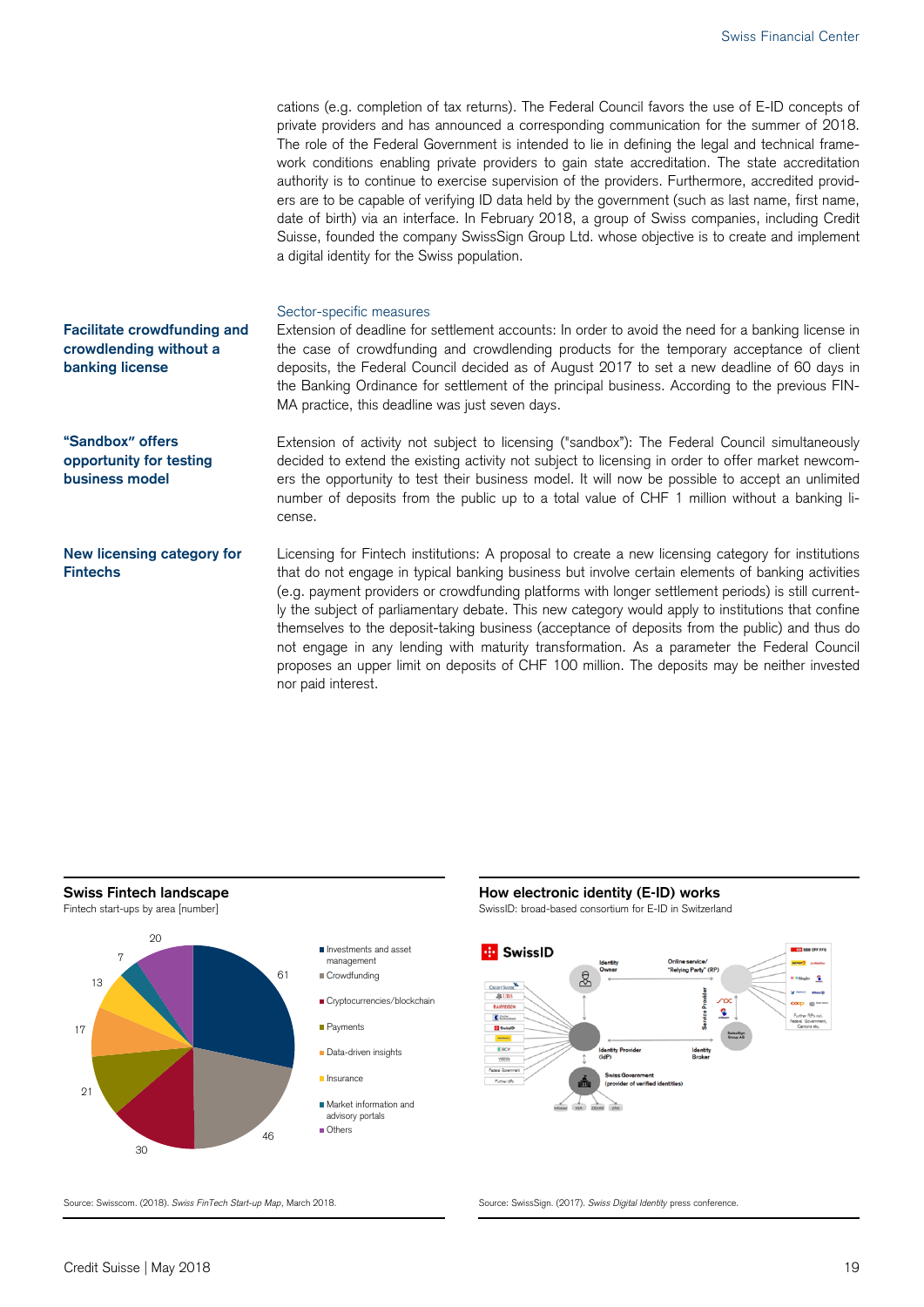cations (e.g. completion of tax returns). The Federal Council favors the use of E-ID concepts of private providers and has announced a corresponding communication for the summer of 2018. The role of the Federal Government is intended to lie in defining the legal and technical framework conditions enabling private providers to gain state accreditation. The state accreditation authority is to continue to exercise supervision of the providers. Furthermore, accredited providers are to be capable of verifying ID data held by the government (such as last name, first name, date of birth) via an interface. In February 2018, a group of Swiss companies, including Credit Suisse, founded the company SwissSign Group Ltd. whose objective is to create and implement a digital identity for the Swiss population. Sector-specific measures Extension of deadline for settlement accounts: In order to avoid the need for a banking license in the case of crowdfunding and crowdlending products for the temporary acceptance of client deposits, the Federal Council decided as of August 2017 to set a new deadline of 60 days in the Banking Ordinance for settlement of the principal business. According to the previous FIN-MA practice, this deadline was just seven days. Extension of activity not subject to licensing ("sandbox"): The Federal Council simultaneously decided to extend the existing activity not subject to licensing in order to offer market newcomers the opportunity to test their business model. It will now be possible to accept an unlimited number of deposits from the public up to a total value of CHF 1 million without a banking license. Licensing for Fintech institutions: A proposal to create a new licensing category for institutions that do not engage in typical banking business but involve certain elements of banking activities (e.g. payment providers or crowdfunding platforms with longer settlement periods) is still currently the subject of parliamentary debate. This new category would apply to institutions that confine themselves to the deposit-taking business (acceptance of deposits from the public) and thus do not engage in any lending with maturity transformation. As a parameter the Federal Council proposes an upper limit on deposits of CHF 100 million. The deposits may be neither invested **Facilitate crowdfunding and crowdlending without a banking license "Sandbox" offers opportunity for testing business model New licensing category for Fintechs** 



nor paid interest.



Source: Swisscom. (2018). *Swiss FinTech Start-up Map*, March 2018. Source: SwissSign. (2017). *Swiss Digital Identity* press conference.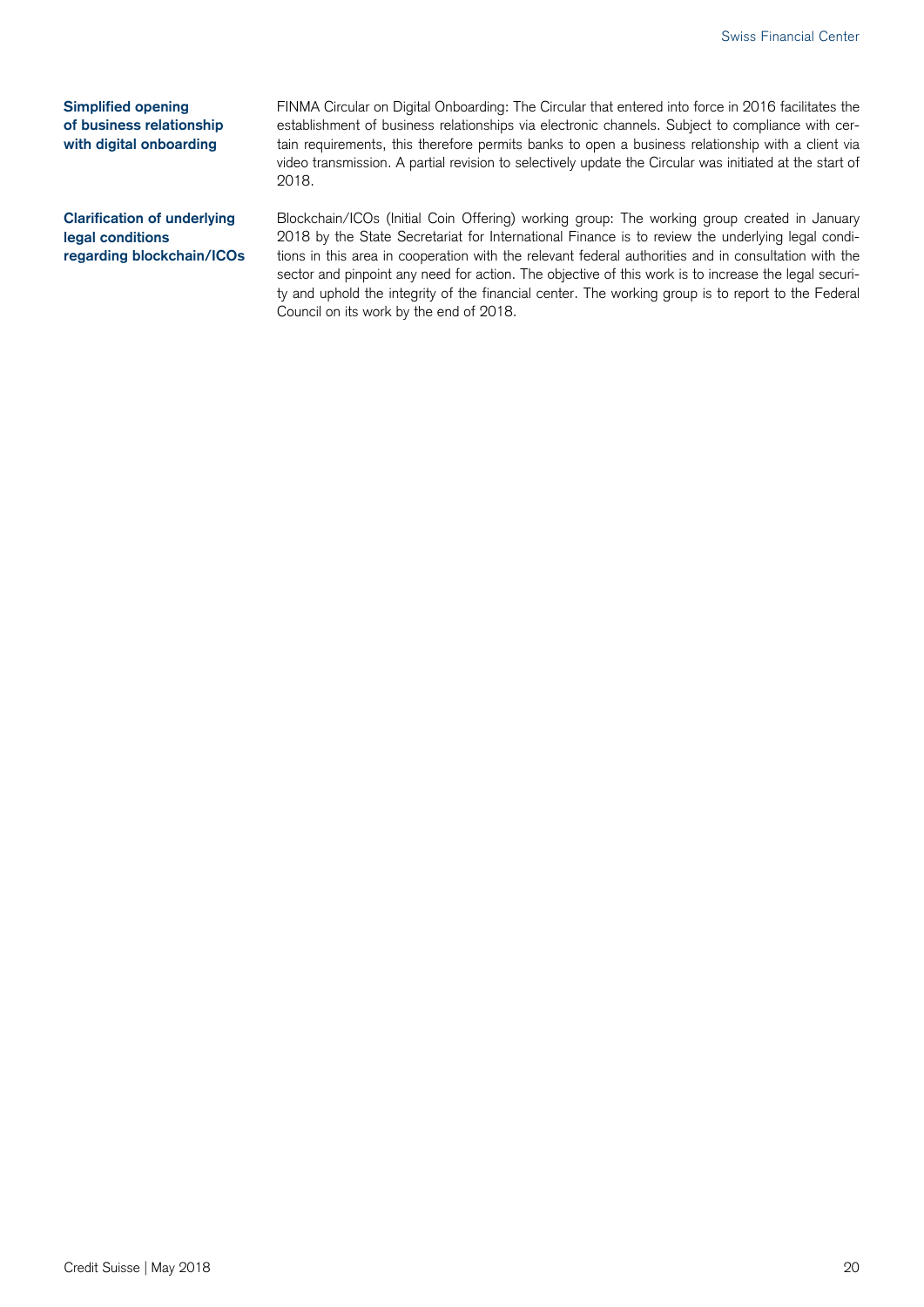**Simplified opening of business relationship with digital onboarding** 

FINMA Circular on Digital Onboarding: The Circular that entered into force in 2016 facilitates the establishment of business relationships via electronic channels. Subject to compliance with certain requirements, this therefore permits banks to open a business relationship with a client via video transmission. A partial revision to selectively update the Circular was initiated at the start of 2018.

**Clarification of underlying legal conditions regarding blockchain/ICOs**  Blockchain/ICOs (Initial Coin Offering) working group: The working group created in January 2018 by the State Secretariat for International Finance is to review the underlying legal conditions in this area in cooperation with the relevant federal authorities and in consultation with the sector and pinpoint any need for action. The objective of this work is to increase the legal security and uphold the integrity of the financial center. The working group is to report to the Federal Council on its work by the end of 2018.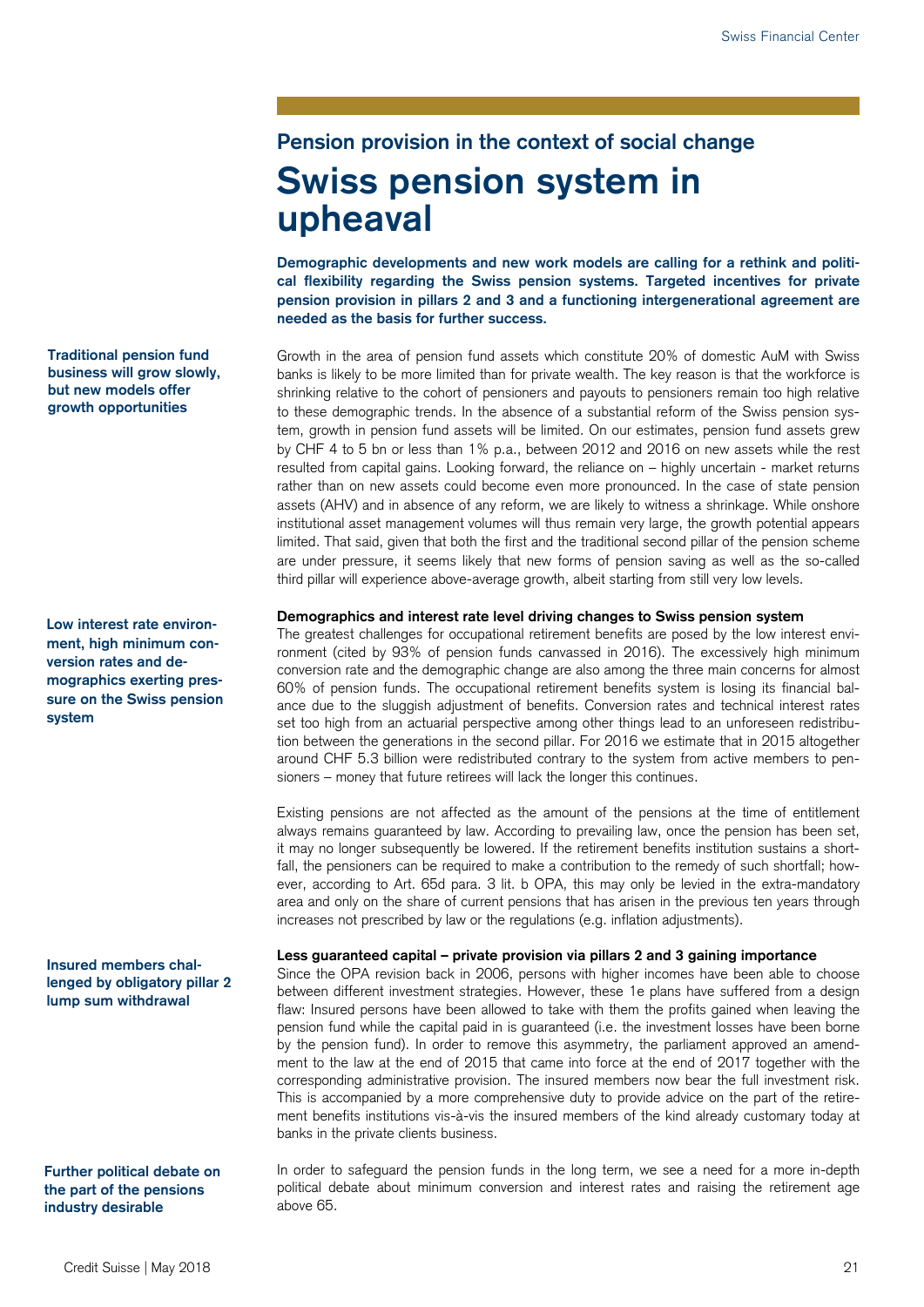# **Pension provision in the context of social change Swiss pension system in upheaval**

**Demographic developments and new work models are calling for a rethink and political flexibility regarding the Swiss pension systems. Targeted incentives for private pension provision in pillars 2 and 3 and a functioning intergenerational agreement are needed as the basis for further success.** 

Growth in the area of pension fund assets which constitute 20% of domestic AuM with Swiss banks is likely to be more limited than for private wealth. The key reason is that the workforce is shrinking relative to the cohort of pensioners and payouts to pensioners remain too high relative to these demographic trends. In the absence of a substantial reform of the Swiss pension system, growth in pension fund assets will be limited. On our estimates, pension fund assets grew by CHF 4 to 5 bn or less than 1% p.a., between 2012 and 2016 on new assets while the rest resulted from capital gains. Looking forward, the reliance on – highly uncertain - market returns rather than on new assets could become even more pronounced. In the case of state pension assets (AHV) and in absence of any reform, we are likely to witness a shrinkage. While onshore institutional asset management volumes will thus remain very large, the growth potential appears limited. That said, given that both the first and the traditional second pillar of the pension scheme are under pressure, it seems likely that new forms of pension saving as well as the so-called third pillar will experience above-average growth, albeit starting from still very low levels.

#### **Demographics and interest rate level driving changes to Swiss pension system**

The greatest challenges for occupational retirement benefits are posed by the low interest environment (cited by 93% of pension funds canvassed in 2016). The excessively high minimum conversion rate and the demographic change are also among the three main concerns for almost 60% of pension funds. The occupational retirement benefits system is losing its financial balance due to the sluggish adjustment of benefits. Conversion rates and technical interest rates set too high from an actuarial perspective among other things lead to an unforeseen redistribution between the generations in the second pillar. For 2016 we estimate that in 2015 altogether around CHF 5.3 billion were redistributed contrary to the system from active members to pensioners – money that future retirees will lack the longer this continues.

Existing pensions are not affected as the amount of the pensions at the time of entitlement always remains guaranteed by law. According to prevailing law, once the pension has been set, it may no longer subsequently be lowered. If the retirement benefits institution sustains a shortfall, the pensioners can be required to make a contribution to the remedy of such shortfall; however, according to Art. 65d para. 3 lit. b OPA, this may only be levied in the extra-mandatory area and only on the share of current pensions that has arisen in the previous ten years through increases not prescribed by law or the regulations (e.g. inflation adjustments).

#### **Less guaranteed capital – private provision via pillars 2 and 3 gaining importance**

Since the OPA revision back in 2006, persons with higher incomes have been able to choose between different investment strategies. However, these 1e plans have suffered from a design flaw: Insured persons have been allowed to take with them the profits gained when leaving the pension fund while the capital paid in is guaranteed (i.e. the investment losses have been borne by the pension fund). In order to remove this asymmetry, the parliament approved an amendment to the law at the end of 2015 that came into force at the end of 2017 together with the corresponding administrative provision. The insured members now bear the full investment risk. This is accompanied by a more comprehensive duty to provide advice on the part of the retirement benefits institutions vis-à-vis the insured members of the kind already customary today at banks in the private clients business.

In order to safeguard the pension funds in the long term, we see a need for a more in-depth political debate about minimum conversion and interest rates and raising the retirement age above 65.

**Traditional pension fund business will grow slowly, but new models offer growth opportunities** 

**Low interest rate environment, high minimum conversion rates and demographics exerting pressure on the Swiss pension system** 

**Insured members challenged by obligatory pillar 2 lump sum withdrawal** 

**Further political debate on the part of the pensions industry desirable**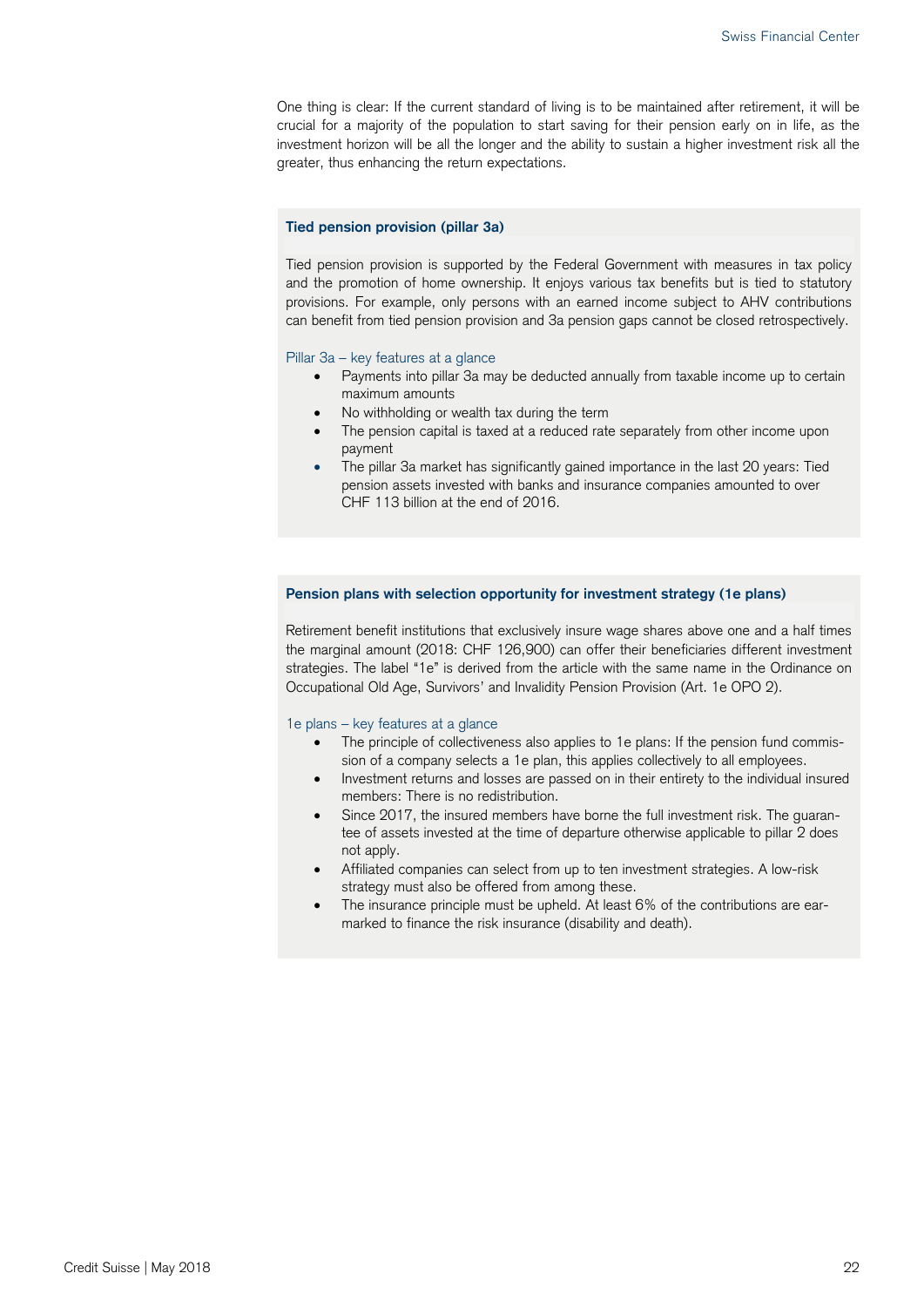One thing is clear: If the current standard of living is to be maintained after retirement, it will be crucial for a majority of the population to start saving for their pension early on in life, as the investment horizon will be all the longer and the ability to sustain a higher investment risk all the greater, thus enhancing the return expectations.

#### **Tied pension provision (pillar 3a)**

Tied pension provision is supported by the Federal Government with measures in tax policy and the promotion of home ownership. It enjoys various tax benefits but is tied to statutory provisions. For example, only persons with an earned income subject to AHV contributions can benefit from tied pension provision and 3a pension gaps cannot be closed retrospectively.

#### Pillar 3a – key features at a glance

- Payments into pillar 3a may be deducted annually from taxable income up to certain maximum amounts
- No withholding or wealth tax during the term
- The pension capital is taxed at a reduced rate separately from other income upon payment
- The pillar 3a market has significantly gained importance in the last 20 years: Tied pension assets invested with banks and insurance companies amounted to over CHF 113 billion at the end of 2016.

#### **Pension plans with selection opportunity for investment strategy (1e plans)**

Retirement benefit institutions that exclusively insure wage shares above one and a half times the marginal amount (2018: CHF 126,900) can offer their beneficiaries different investment strategies. The label "1e" is derived from the article with the same name in the Ordinance on Occupational Old Age, Survivors' and Invalidity Pension Provision (Art. 1e OPO 2).

#### 1e plans – key features at a glance

- The principle of collectiveness also applies to 1e plans: If the pension fund commission of a company selects a 1e plan, this applies collectively to all employees.
- Investment returns and losses are passed on in their entirety to the individual insured members: There is no redistribution.
- Since 2017, the insured members have borne the full investment risk. The guarantee of assets invested at the time of departure otherwise applicable to pillar 2 does not apply.
- Affiliated companies can select from up to ten investment strategies. A low-risk strategy must also be offered from among these.
- The insurance principle must be upheld. At least 6% of the contributions are earmarked to finance the risk insurance (disability and death).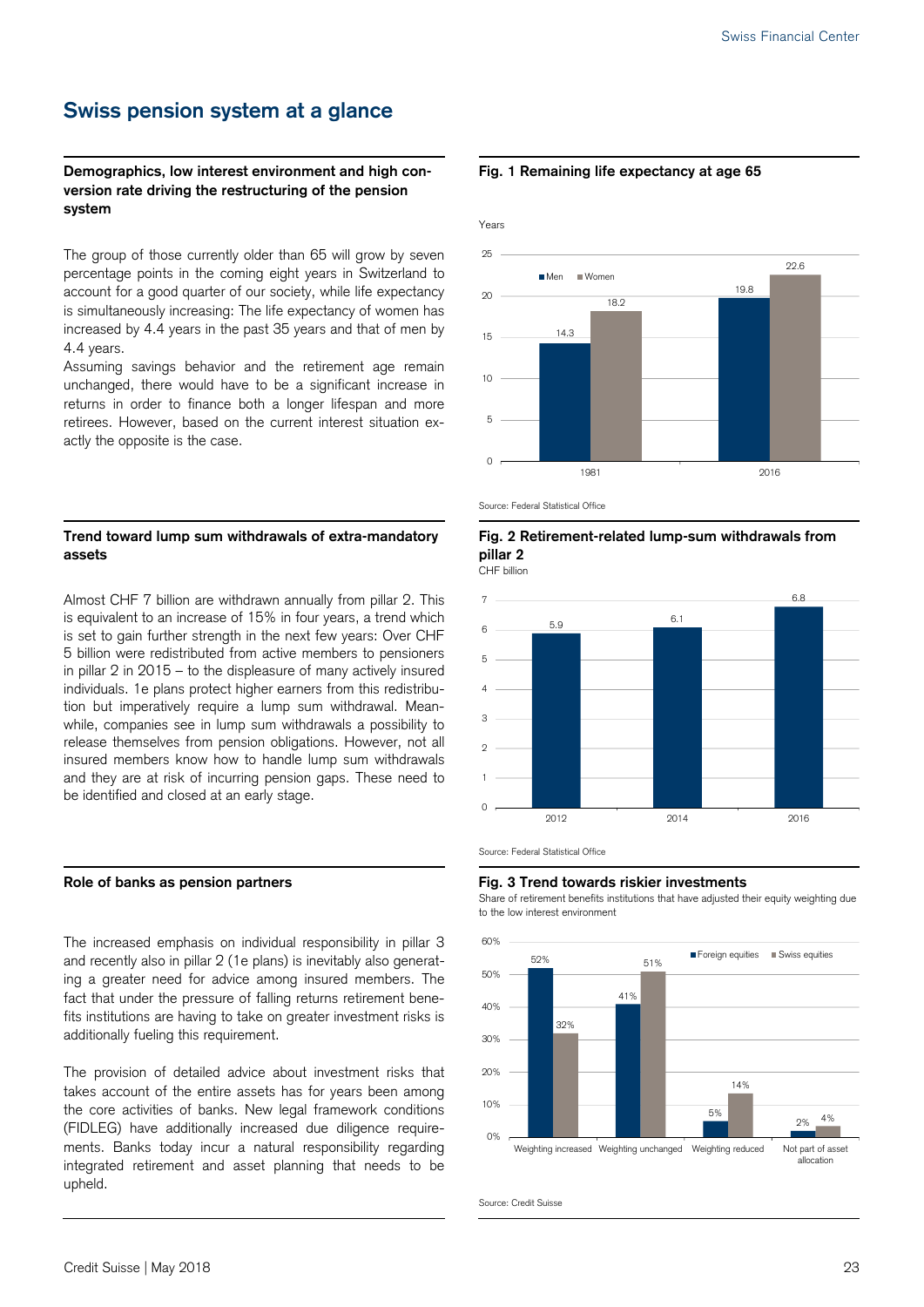## **Swiss pension system at a glance**

### **Demographics, low interest environment and high conversion rate driving the restructuring of the pension system**

The group of those currently older than 65 will grow by seven percentage points in the coming eight years in Switzerland to account for a good quarter of our society, while life expectancy is simultaneously increasing: The life expectancy of women has increased by 4.4 years in the past 35 years and that of men by 4.4 years.

Assuming savings behavior and the retirement age remain unchanged, there would have to be a significant increase in returns in order to finance both a longer lifespan and more retirees. However, based on the current interest situation exactly the opposite is the case.

### **Trend toward lump sum withdrawals of extra-mandatory assets**

Almost CHF 7 billion are withdrawn annually from pillar 2. This is equivalent to an increase of 15% in four years, a trend which is set to gain further strength in the next few years: Over CHF 5 billion were redistributed from active members to pensioners in pillar 2 in 2015 – to the displeasure of many actively insured individuals. 1e plans protect higher earners from this redistribution but imperatively require a lump sum withdrawal. Meanwhile, companies see in lump sum withdrawals a possibility to release themselves from pension obligations. However, not all insured members know how to handle lump sum withdrawals and they are at risk of incurring pension gaps. These need to be identified and closed at an early stage.

The increased emphasis on individual responsibility in pillar 3 and recently also in pillar 2 (1e plans) is inevitably also generating a greater need for advice among insured members. The fact that under the pressure of falling returns retirement benefits institutions are having to take on greater investment risks is additionally fueling this requirement.

The provision of detailed advice about investment risks that takes account of the entire assets has for years been among the core activities of banks. New legal framework conditions (FIDLEG) have additionally increased due diligence requirements. Banks today incur a natural responsibility regarding integrated retirement and asset planning that needs to be upheld.

#### **Fig. 1 Remaining life expectancy at age 65**



Source: Federal Statistical Office

#### **Fig. 2 Retirement-related lump-sum withdrawals from pillar 2**

CHF billion





#### Role of banks as pension partners **Fig. 3 Trend towards riskier investments Role**

 Share of retirement benefits institutions that have adjusted their equity weighting due to the low interest environment



Source: Credit Suisse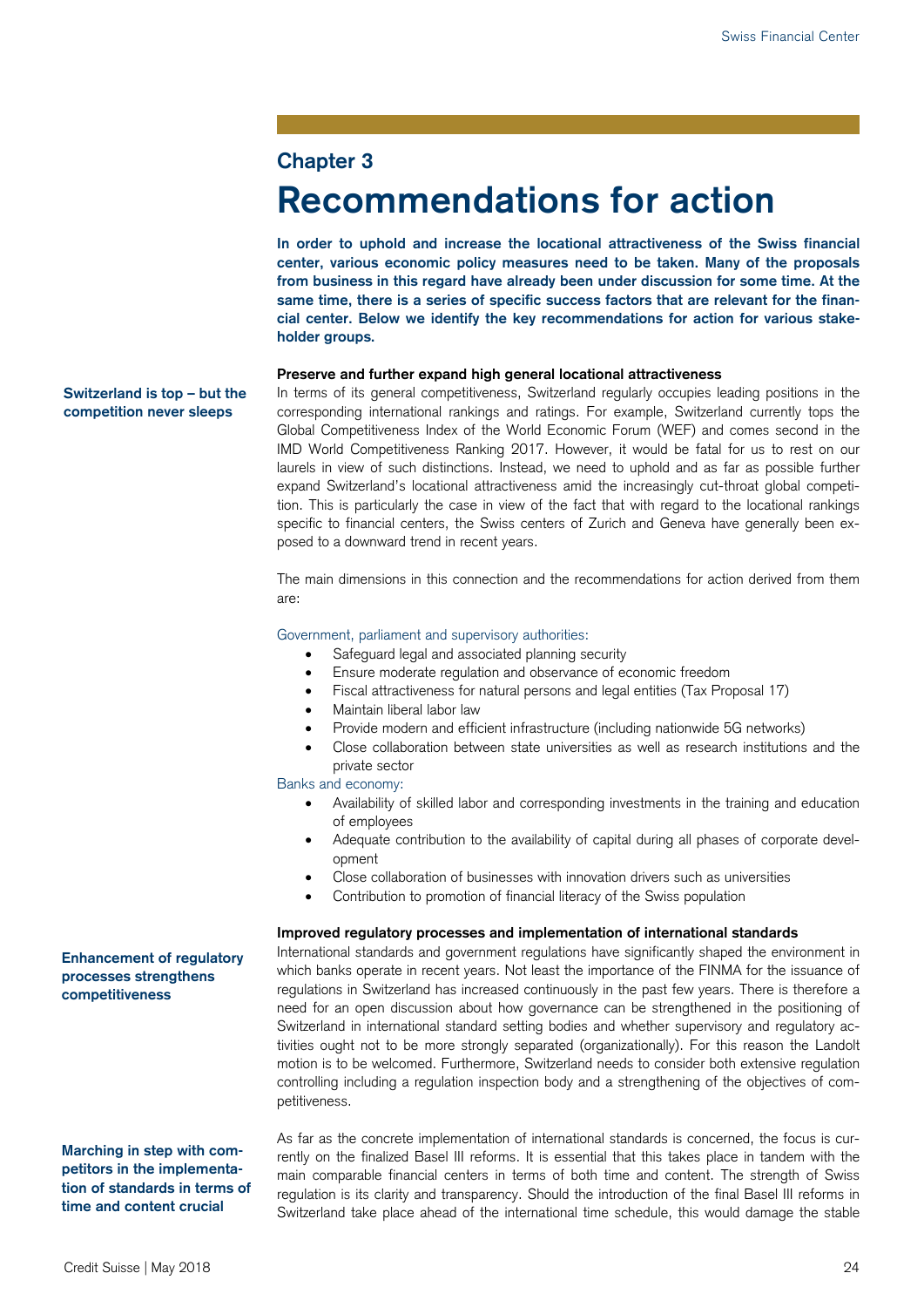### **Chapter 3**

# **Recommendations for action**

**In order to uphold and increase the locational attractiveness of the Swiss financial center, various economic policy measures need to be taken. Many of the proposals from business in this regard have already been under discussion for some time. At the same time, there is a series of specific success factors that are relevant for the financial center. Below we identify the key recommendations for action for various stakeholder groups.** 

#### **Preserve and further expand high general locational attractiveness**

In terms of its general competitiveness, Switzerland regularly occupies leading positions in the corresponding international rankings and ratings. For example, Switzerland currently tops the Global Competitiveness Index of the World Economic Forum (WEF) and comes second in the IMD World Competitiveness Ranking 2017. However, it would be fatal for us to rest on our laurels in view of such distinctions. Instead, we need to uphold and as far as possible further expand Switzerland's locational attractiveness amid the increasingly cut-throat global competition. This is particularly the case in view of the fact that with regard to the locational rankings specific to financial centers, the Swiss centers of Zurich and Geneva have generally been exposed to a downward trend in recent years.

The main dimensions in this connection and the recommendations for action derived from them are:

#### Government, parliament and supervisory authorities:

- Safeguard legal and associated planning security
- Ensure moderate regulation and observance of economic freedom
- Fiscal attractiveness for natural persons and legal entities (Tax Proposal 17)
- Maintain liberal labor law
- Provide modern and efficient infrastructure (including nationwide 5G networks)
- Close collaboration between state universities as well as research institutions and the private sector

Banks and economy:

- Availability of skilled labor and corresponding investments in the training and education of employees
- Adequate contribution to the availability of capital during all phases of corporate development
- Close collaboration of businesses with innovation drivers such as universities
- Contribution to promotion of financial literacy of the Swiss population

#### **Improved regulatory processes and implementation of international standards**

International standards and government regulations have significantly shaped the environment in which banks operate in recent years. Not least the importance of the FINMA for the issuance of regulations in Switzerland has increased continuously in the past few years. There is therefore a need for an open discussion about how governance can be strengthened in the positioning of Switzerland in international standard setting bodies and whether supervisory and regulatory activities ought not to be more strongly separated (organizationally). For this reason the Landolt motion is to be welcomed. Furthermore, Switzerland needs to consider both extensive regulation controlling including a regulation inspection body and a strengthening of the objectives of competitiveness.

As far as the concrete implementation of international standards is concerned, the focus is currently on the finalized Basel III reforms. It is essential that this takes place in tandem with the main comparable financial centers in terms of both time and content. The strength of Swiss regulation is its clarity and transparency. Should the introduction of the final Basel III reforms in Switzerland take place ahead of the international time schedule, this would damage the stable

**Enhancement of regulatory processes strengthens competitiveness** 

**Switzerland is top – but the competition never sleeps** 

**Marching in step with competitors in the implementation of standards in terms of time and content crucial**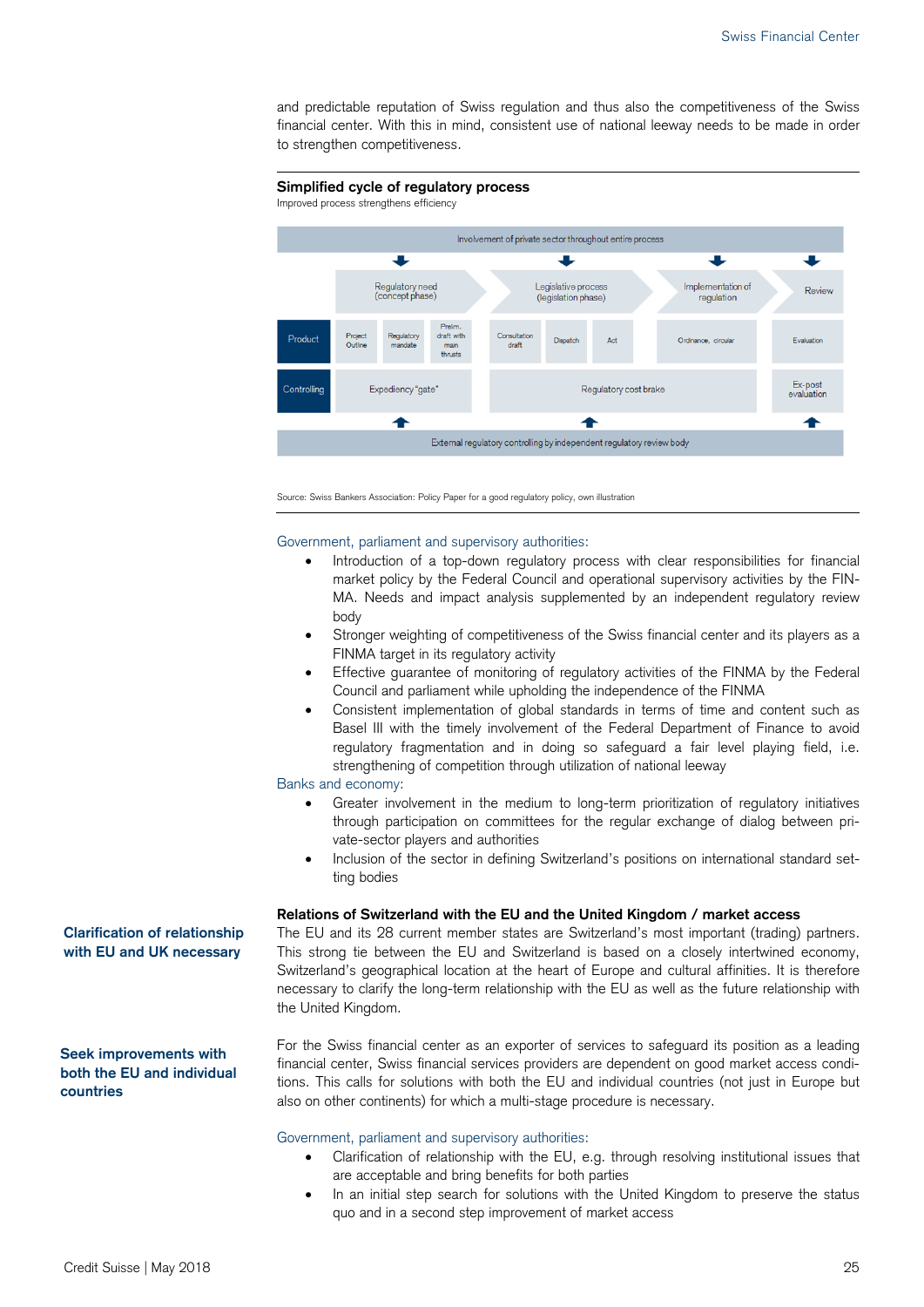and predictable reputation of Swiss regulation and thus also the competitiveness of the Swiss financial center. With this in mind, consistent use of national leeway needs to be made in order to strengthen competitiveness.



Source: Swiss Bankers Association: Policy Paper for a good regulatory policy, own illustration

Government, parliament and supervisory authorities:

- Introduction of a top-down regulatory process with clear responsibilities for financial market policy by the Federal Council and operational supervisory activities by the FIN-MA. Needs and impact analysis supplemented by an independent regulatory review body
- Stronger weighting of competitiveness of the Swiss financial center and its players as a FINMA target in its regulatory activity
- Effective guarantee of monitoring of regulatory activities of the FINMA by the Federal Council and parliament while upholding the independence of the FINMA
- Consistent implementation of global standards in terms of time and content such as Basel III with the timely involvement of the Federal Department of Finance to avoid regulatory fragmentation and in doing so safeguard a fair level playing field, i.e. strengthening of competition through utilization of national leeway

Banks and economy:

- Greater involvement in the medium to long-term prioritization of regulatory initiatives through participation on committees for the regular exchange of dialog between private-sector players and authorities
- Inclusion of the sector in defining Switzerland's positions on international standard setting bodies

#### **Relations of Switzerland with the EU and the United Kingdom / market access**

The EU and its 28 current member states are Switzerland's most important (trading) partners. This strong tie between the EU and Switzerland is based on a closely intertwined economy, Switzerland's geographical location at the heart of Europe and cultural affinities. It is therefore necessary to clarify the long-term relationship with the EU as well as the future relationship with the United Kingdom.

For the Swiss financial center as an exporter of services to safeguard its position as a leading financial center, Swiss financial services providers are dependent on good market access conditions. This calls for solutions with both the EU and individual countries (not just in Europe but also on other continents) for which a multi-stage procedure is necessary.

#### Government, parliament and supervisory authorities:

- Clarification of relationship with the EU, e.g. through resolving institutional issues that are acceptable and bring benefits for both parties
- In an initial step search for solutions with the United Kingdom to preserve the status quo and in a second step improvement of market access

**Clarification of relationship with EU and UK necessary** 

**Seek improvements with both the EU and individual countries**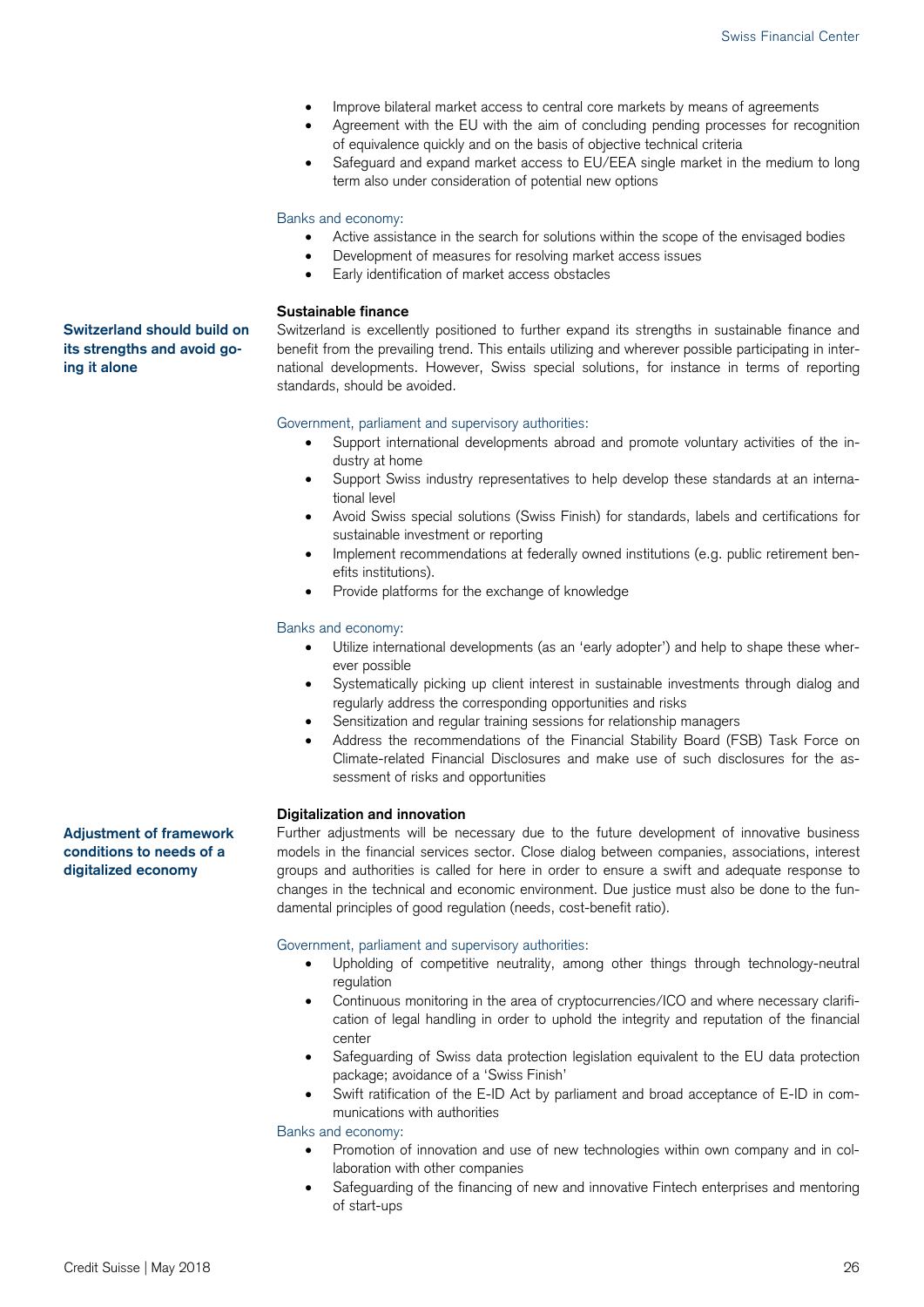- Improve bilateral market access to central core markets by means of agreements
- Agreement with the EU with the aim of concluding pending processes for recognition of equivalence quickly and on the basis of objective technical criteria
- Safeguard and expand market access to EU/EEA single market in the medium to long term also under consideration of potential new options

#### Banks and economy:

- Active assistance in the search for solutions within the scope of the envisaged bodies
- Development of measures for resolving market access issues
- Early identification of market access obstacles

#### **Sustainable finance**

Switzerland is excellently positioned to further expand its strengths in sustainable finance and benefit from the prevailing trend. This entails utilizing and wherever possible participating in international developments. However, Swiss special solutions, for instance in terms of reporting standards, should be avoided.

#### Government, parliament and supervisory authorities:

- Support international developments abroad and promote voluntary activities of the industry at home
- Support Swiss industry representatives to help develop these standards at an international level
- Avoid Swiss special solutions (Swiss Finish) for standards, labels and certifications for sustainable investment or reporting
- Implement recommendations at federally owned institutions (e.g. public retirement benefits institutions).
- Provide platforms for the exchange of knowledge

#### Banks and economy:

- Utilize international developments (as an 'early adopter') and help to shape these wherever possible
- Systematically picking up client interest in sustainable investments through dialog and regularly address the corresponding opportunities and risks
- Sensitization and regular training sessions for relationship managers
- Address the recommendations of the Financial Stability Board (FSB) Task Force on Climate-related Financial Disclosures and make use of such disclosures for the assessment of risks and opportunities

#### **Digitalization and innovation**

Further adjustments will be necessary due to the future development of innovative business models in the financial services sector. Close dialog between companies, associations, interest groups and authorities is called for here in order to ensure a swift and adequate response to changes in the technical and economic environment. Due justice must also be done to the fundamental principles of good regulation (needs, cost-benefit ratio).

#### Government, parliament and supervisory authorities:

- Upholding of competitive neutrality, among other things through technology-neutral regulation
- Continuous monitoring in the area of cryptocurrencies/ICO and where necessary clarification of legal handling in order to uphold the integrity and reputation of the financial center
- Safeguarding of Swiss data protection legislation equivalent to the EU data protection package; avoidance of a 'Swiss Finish'
- Swift ratification of the E-ID Act by parliament and broad acceptance of E-ID in communications with authorities

Banks and economy:

- Promotion of innovation and use of new technologies within own company and in collaboration with other companies
- Safeguarding of the financing of new and innovative Fintech enterprises and mentoring of start-ups

**Adjustment of framework conditions to needs of a digitalized economy** 

#### **Switzerland should build on its strengths and avoid going it alone**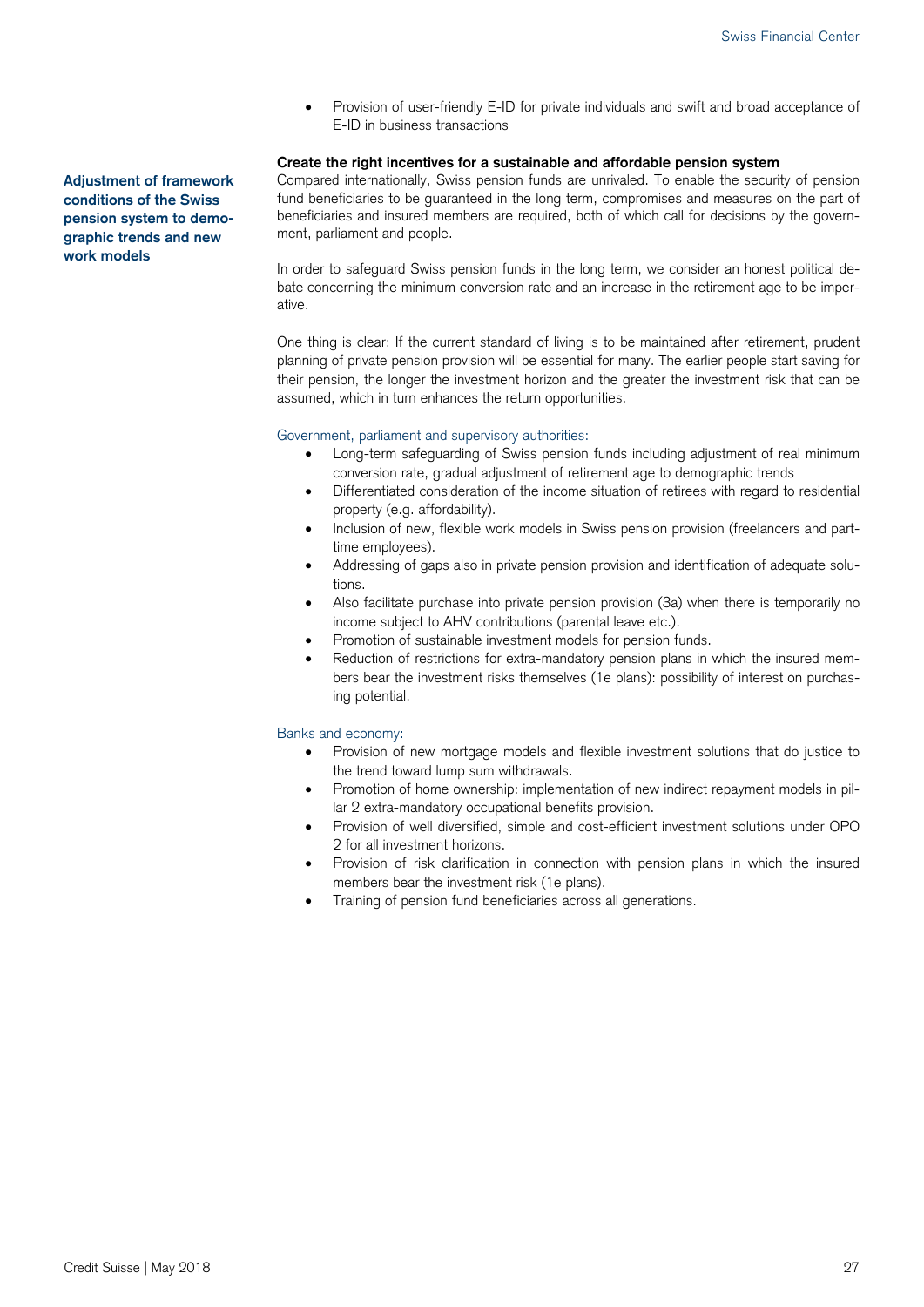Provision of user-friendly E-ID for private individuals and swift and broad acceptance of E-ID in business transactions

#### **Create the right incentives for a sustainable and affordable pension system**

Compared internationally, Swiss pension funds are unrivaled. To enable the security of pension fund beneficiaries to be guaranteed in the long term, compromises and measures on the part of beneficiaries and insured members are required, both of which call for decisions by the government, parliament and people.

In order to safeguard Swiss pension funds in the long term, we consider an honest political debate concerning the minimum conversion rate and an increase in the retirement age to be imperative.

One thing is clear: If the current standard of living is to be maintained after retirement, prudent planning of private pension provision will be essential for many. The earlier people start saving for their pension, the longer the investment horizon and the greater the investment risk that can be assumed, which in turn enhances the return opportunities.

#### Government, parliament and supervisory authorities:

- Long-term safeguarding of Swiss pension funds including adjustment of real minimum conversion rate, gradual adjustment of retirement age to demographic trends
- Differentiated consideration of the income situation of retirees with regard to residential property (e.g. affordability).
- Inclusion of new, flexible work models in Swiss pension provision (freelancers and parttime employees).
- Addressing of gaps also in private pension provision and identification of adequate solutions.
- Also facilitate purchase into private pension provision (3a) when there is temporarily no income subject to AHV contributions (parental leave etc.).
- Promotion of sustainable investment models for pension funds.
- Reduction of restrictions for extra-mandatory pension plans in which the insured members bear the investment risks themselves (1e plans): possibility of interest on purchasing potential.

#### Banks and economy:

- Provision of new mortgage models and flexible investment solutions that do justice to the trend toward lump sum withdrawals.
- Promotion of home ownership: implementation of new indirect repayment models in pillar 2 extra-mandatory occupational benefits provision.
- Provision of well diversified, simple and cost-efficient investment solutions under OPO 2 for all investment horizons.
- Provision of risk clarification in connection with pension plans in which the insured members bear the investment risk (1e plans).
- Training of pension fund beneficiaries across all generations.

**Adjustment of framework conditions of the Swiss pension system to demographic trends and new work models**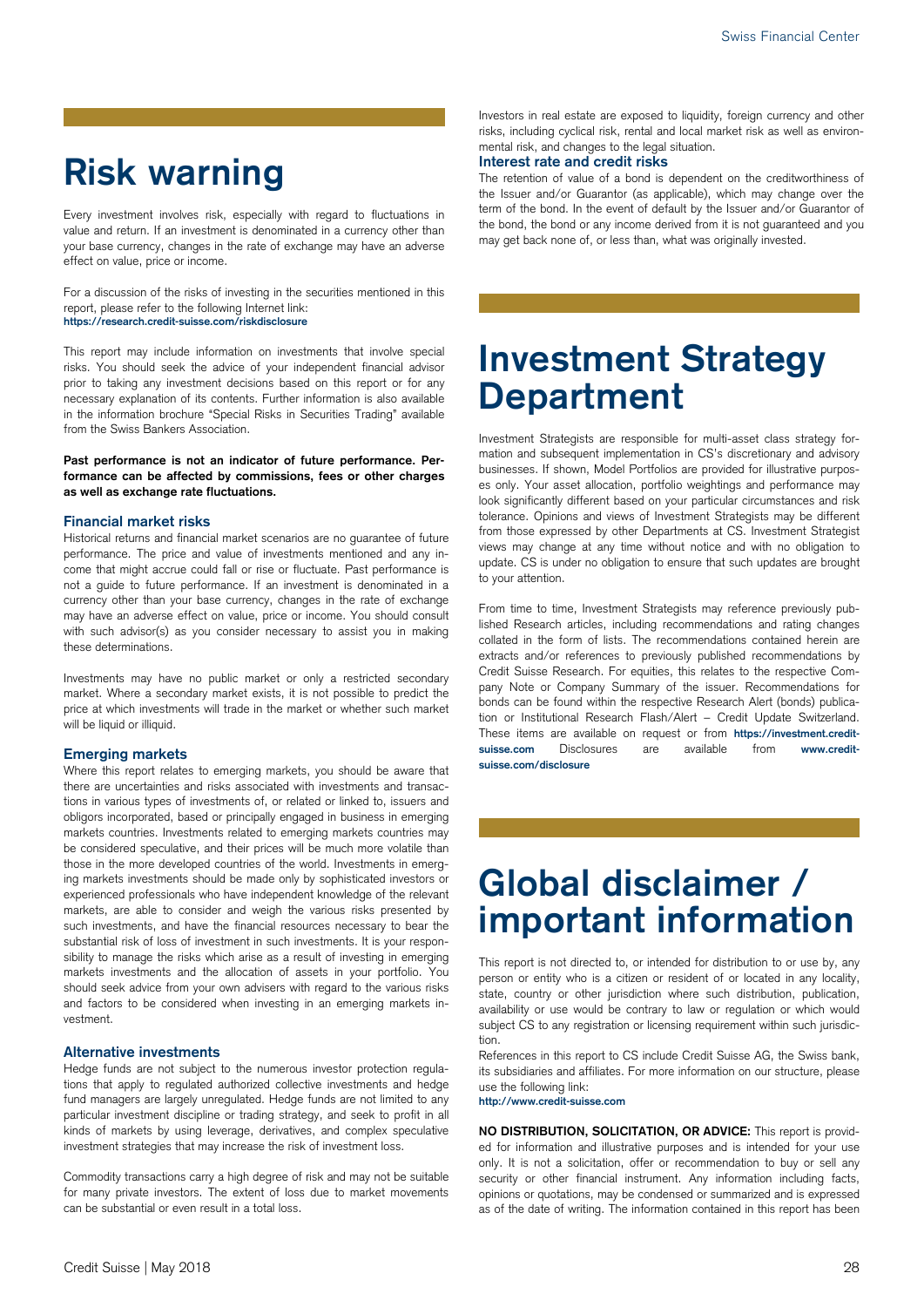# **Risk warning**

Every investment involves risk, especially with regard to fluctuations in value and return. If an investment is denominated in a currency other than your base currency, changes in the rate of exchange may have an adverse effect on value, price or income.

For a discussion of the risks of investing in the securities mentioned in this report, please refer to the following Internet link: **https://research.credit-suisse.com/riskdisclosure** 

This report may include information on investments that involve special risks. You should seek the advice of your independent financial advisor prior to taking any investment decisions based on this report or for any necessary explanation of its contents. Further information is also available in the information brochure "Special Risks in Securities Trading" available from the Swiss Bankers Association.

**Past performance is not an indicator of future performance. Performance can be affected by commissions, fees or other charges as well as exchange rate fluctuations.** 

#### **Financial market risks**

Historical returns and financial market scenarios are no guarantee of future performance. The price and value of investments mentioned and any income that might accrue could fall or rise or fluctuate. Past performance is not a guide to future performance. If an investment is denominated in a currency other than your base currency, changes in the rate of exchange may have an adverse effect on value, price or income. You should consult with such advisor(s) as you consider necessary to assist you in making these determinations.

Investments may have no public market or only a restricted secondary market. Where a secondary market exists, it is not possible to predict the price at which investments will trade in the market or whether such market will be liquid or illiquid.

#### **Emerging markets**

Where this report relates to emerging markets, you should be aware that there are uncertainties and risks associated with investments and transactions in various types of investments of, or related or linked to, issuers and obligors incorporated, based or principally engaged in business in emerging markets countries. Investments related to emerging markets countries may be considered speculative, and their prices will be much more volatile than those in the more developed countries of the world. Investments in emerging markets investments should be made only by sophisticated investors or experienced professionals who have independent knowledge of the relevant markets, are able to consider and weigh the various risks presented by such investments, and have the financial resources necessary to bear the substantial risk of loss of investment in such investments. It is your responsibility to manage the risks which arise as a result of investing in emerging markets investments and the allocation of assets in your portfolio. You should seek advice from your own advisers with regard to the various risks and factors to be considered when investing in an emerging markets investment.

#### **Alternative investments**

Hedge funds are not subject to the numerous investor protection regulations that apply to regulated authorized collective investments and hedge fund managers are largely unregulated. Hedge funds are not limited to any particular investment discipline or trading strategy, and seek to profit in all kinds of markets by using leverage, derivatives, and complex speculative investment strategies that may increase the risk of investment loss.

Commodity transactions carry a high degree of risk and may not be suitable for many private investors. The extent of loss due to market movements can be substantial or even result in a total loss.

Investors in real estate are exposed to liquidity, foreign currency and other risks, including cyclical risk, rental and local market risk as well as environmental risk, and changes to the legal situation.

#### **Interest rate and credit risks**

The retention of value of a bond is dependent on the creditworthiness of the Issuer and/or Guarantor (as applicable), which may change over the term of the bond. In the event of default by the Issuer and/or Guarantor of the bond, the bond or any income derived from it is not guaranteed and you may get back none of, or less than, what was originally invested.

# **Investment Strategy Department**

Investment Strategists are responsible for multi-asset class strategy formation and subsequent implementation in CS's discretionary and advisory businesses. If shown, Model Portfolios are provided for illustrative purposes only. Your asset allocation, portfolio weightings and performance may look significantly different based on your particular circumstances and risk tolerance. Opinions and views of Investment Strategists may be different from those expressed by other Departments at CS. Investment Strategist views may change at any time without notice and with no obligation to update. CS is under no obligation to ensure that such updates are brought to your attention.

From time to time, Investment Strategists may reference previously published Research articles, including recommendations and rating changes collated in the form of lists. The recommendations contained herein are extracts and/or references to previously published recommendations by Credit Suisse Research. For equities, this relates to the respective Company Note or Company Summary of the issuer. Recommendations for bonds can be found within the respective Research Alert (bonds) publication or Institutional Research Flash/Alert – Credit Update Switzerland. These items are available on request or from **https://investment.creditsuisse.com** Disclosures are available from **www.creditsuisse.com/disclosure**

# **Global disclaimer / important information**

This report is not directed to, or intended for distribution to or use by, any person or entity who is a citizen or resident of or located in any locality, state, country or other jurisdiction where such distribution, publication, availability or use would be contrary to law or regulation or which would subject CS to any registration or licensing requirement within such jurisdiction.

References in this report to CS include Credit Suisse AG, the Swiss bank, its subsidiaries and affiliates. For more information on our structure, please use the following link:

**http://www.credit-suisse.com** 

**NO DISTRIBUTION, SOLICITATION, OR ADVICE:** This report is provided for information and illustrative purposes and is intended for your use only. It is not a solicitation, offer or recommendation to buy or sell any security or other financial instrument. Any information including facts, opinions or quotations, may be condensed or summarized and is expressed as of the date of writing. The information contained in this report has been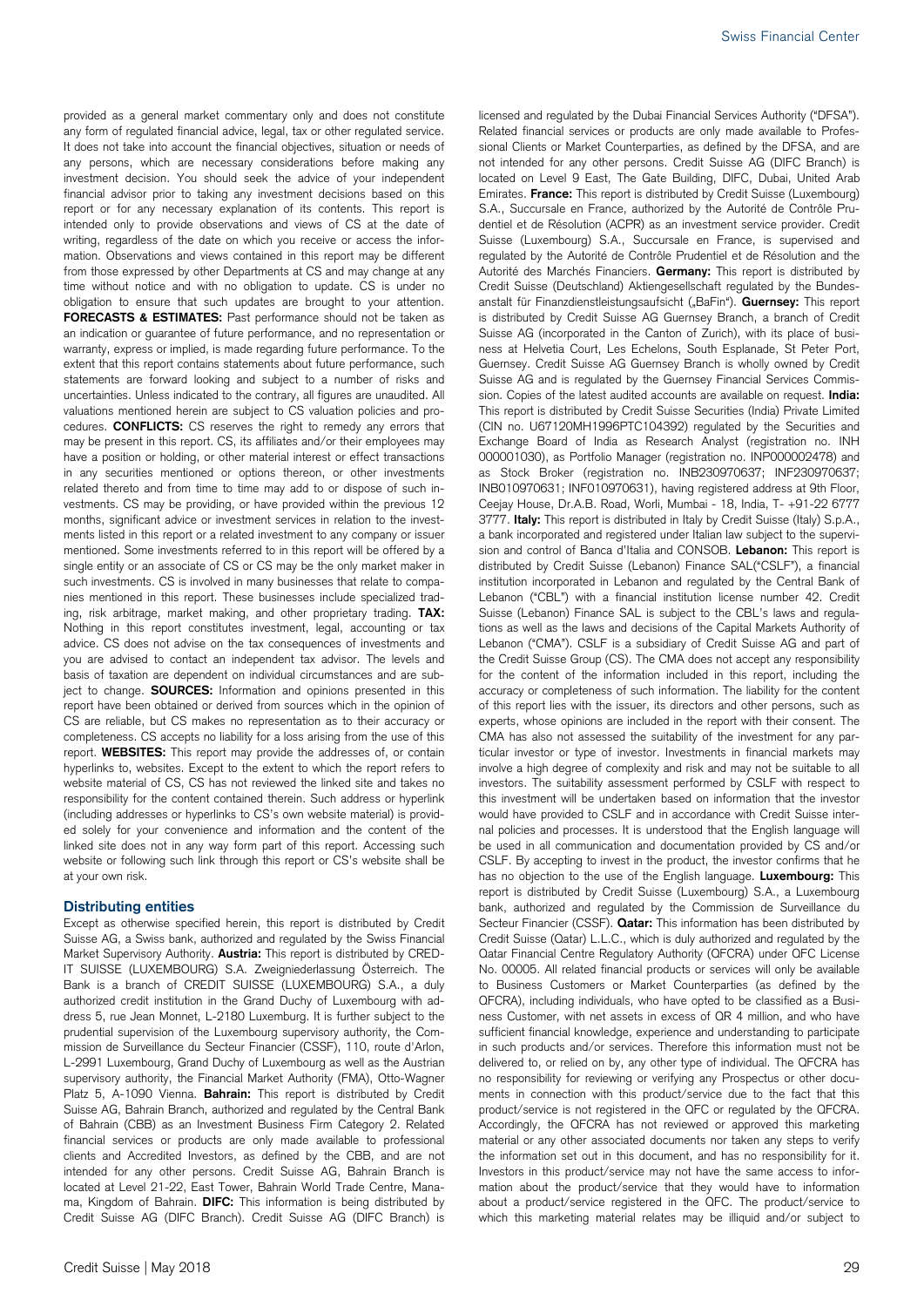provided as a general market commentary only and does not constitute any form of regulated financial advice, legal, tax or other regulated service. It does not take into account the financial objectives, situation or needs of any persons, which are necessary considerations before making any investment decision. You should seek the advice of your independent financial advisor prior to taking any investment decisions based on this report or for any necessary explanation of its contents. This report is intended only to provide observations and views of CS at the date of writing, regardless of the date on which you receive or access the information. Observations and views contained in this report may be different from those expressed by other Departments at CS and may change at any time without notice and with no obligation to update. CS is under no obligation to ensure that such updates are brought to your attention. **FORECASTS & ESTIMATES:** Past performance should not be taken as an indication or guarantee of future performance, and no representation or warranty, express or implied, is made regarding future performance. To the extent that this report contains statements about future performance, such statements are forward looking and subject to a number of risks and uncertainties. Unless indicated to the contrary, all figures are unaudited. All valuations mentioned herein are subject to CS valuation policies and procedures. **CONFLICTS:** CS reserves the right to remedy any errors that may be present in this report. CS, its affiliates and/or their employees may have a position or holding, or other material interest or effect transactions in any securities mentioned or options thereon, or other investments related thereto and from time to time may add to or dispose of such investments. CS may be providing, or have provided within the previous 12 months, significant advice or investment services in relation to the investments listed in this report or a related investment to any company or issuer mentioned. Some investments referred to in this report will be offered by a single entity or an associate of CS or CS may be the only market maker in such investments. CS is involved in many businesses that relate to companies mentioned in this report. These businesses include specialized trading, risk arbitrage, market making, and other proprietary trading. **TAX:** Nothing in this report constitutes investment, legal, accounting or tax advice. CS does not advise on the tax consequences of investments and you are advised to contact an independent tax advisor. The levels and basis of taxation are dependent on individual circumstances and are subject to change. **SOURCES:** Information and opinions presented in this report have been obtained or derived from sources which in the opinion of CS are reliable, but CS makes no representation as to their accuracy or completeness. CS accepts no liability for a loss arising from the use of this report. **WEBSITES:** This report may provide the addresses of, or contain hyperlinks to, websites. Except to the extent to which the report refers to website material of CS, CS has not reviewed the linked site and takes no responsibility for the content contained therein. Such address or hyperlink (including addresses or hyperlinks to CS's own website material) is provided solely for your convenience and information and the content of the linked site does not in any way form part of this report. Accessing such website or following such link through this report or CS's website shall be at your own risk.

#### **Distributing entities**

Except as otherwise specified herein, this report is distributed by Credit Suisse AG, a Swiss bank, authorized and regulated by the Swiss Financial Market Supervisory Authority. **Austria:** This report is distributed by CRED-IT SUISSE (LUXEMBOURG) S.A. Zweigniederlassung Österreich. The Bank is a branch of CREDIT SUISSE (LUXEMBOURG) S.A., a duly authorized credit institution in the Grand Duchy of Luxembourg with address 5, rue Jean Monnet, L-2180 Luxemburg. It is further subject to the prudential supervision of the Luxembourg supervisory authority, the Commission de Surveillance du Secteur Financier (CSSF), 110, route d'Arlon, L-2991 Luxembourg, Grand Duchy of Luxembourg as well as the Austrian supervisory authority, the Financial Market Authority (FMA), Otto-Wagner Platz 5, A-1090 Vienna. **Bahrain:** This report is distributed by Credit Suisse AG, Bahrain Branch, authorized and regulated by the Central Bank of Bahrain (CBB) as an Investment Business Firm Category 2. Related financial services or products are only made available to professional clients and Accredited Investors, as defined by the CBB, and are not intended for any other persons. Credit Suisse AG, Bahrain Branch is located at Level 21-22, East Tower, Bahrain World Trade Centre, Manama, Kingdom of Bahrain. **DIFC:** This information is being distributed by Credit Suisse AG (DIFC Branch). Credit Suisse AG (DIFC Branch) is

licensed and regulated by the Dubai Financial Services Authority ("DFSA"). Related financial services or products are only made available to Professional Clients or Market Counterparties, as defined by the DFSA, and are not intended for any other persons. Credit Suisse AG (DIFC Branch) is located on Level 9 East, The Gate Building, DIFC, Dubai, United Arab Emirates. **France:** This report is distributed by Credit Suisse (Luxembourg) S.A., Succursale en France, authorized by the Autorité de Contrôle Prudentiel et de Résolution (ACPR) as an investment service provider. Credit Suisse (Luxembourg) S.A., Succursale en France, is supervised and regulated by the Autorité de Contrôle Prudentiel et de Résolution and the Autorité des Marchés Financiers. **Germany:** This report is distributed by Credit Suisse (Deutschland) Aktiengesellschaft regulated by the Bundesanstalt für Finanzdienstleistungsaufsicht ("BaFin"). **Guernsey:** This report is distributed by Credit Suisse AG Guernsey Branch, a branch of Credit Suisse AG (incorporated in the Canton of Zurich), with its place of business at Helvetia Court, Les Echelons, South Esplanade, St Peter Port, Guernsey. Credit Suisse AG Guernsey Branch is wholly owned by Credit Suisse AG and is regulated by the Guernsey Financial Services Commission. Copies of the latest audited accounts are available on request. **India:**  This report is distributed by Credit Suisse Securities (India) Private Limited (CIN no. U67120MH1996PTC104392) regulated by the Securities and Exchange Board of India as Research Analyst (registration no. INH 000001030), as Portfolio Manager (registration no. INP000002478) and as Stock Broker (registration no. INB230970637; INF230970637; INB010970631; INF010970631), having registered address at 9th Floor, Ceejay House, Dr.A.B. Road, Worli, Mumbai - 18, India, T- +91-22 6777 3777. **Italy:** This report is distributed in Italy by Credit Suisse (Italy) S.p.A., a bank incorporated and registered under Italian law subject to the supervision and control of Banca d'Italia and CONSOB. **Lebanon:** This report is distributed by Credit Suisse (Lebanon) Finance SAL("CSLF"), a financial institution incorporated in Lebanon and regulated by the Central Bank of Lebanon ("CBL") with a financial institution license number 42. Credit Suisse (Lebanon) Finance SAL is subject to the CBL's laws and regulations as well as the laws and decisions of the Capital Markets Authority of Lebanon ("CMA"). CSLF is a subsidiary of Credit Suisse AG and part of the Credit Suisse Group (CS). The CMA does not accept any responsibility for the content of the information included in this report, including the accuracy or completeness of such information. The liability for the content of this report lies with the issuer, its directors and other persons, such as experts, whose opinions are included in the report with their consent. The CMA has also not assessed the suitability of the investment for any particular investor or type of investor. Investments in financial markets may involve a high degree of complexity and risk and may not be suitable to all investors. The suitability assessment performed by CSLF with respect to this investment will be undertaken based on information that the investor would have provided to CSLF and in accordance with Credit Suisse internal policies and processes. It is understood that the English language will be used in all communication and documentation provided by CS and/or CSLF. By accepting to invest in the product, the investor confirms that he has no objection to the use of the English language. **Luxembourg:** This report is distributed by Credit Suisse (Luxembourg) S.A., a Luxembourg bank, authorized and regulated by the Commission de Surveillance du Secteur Financier (CSSF). **Qatar:** This information has been distributed by Credit Suisse (Qatar) L.L.C., which is duly authorized and regulated by the Qatar Financial Centre Regulatory Authority (QFCRA) under QFC License No. 00005. All related financial products or services will only be available to Business Customers or Market Counterparties (as defined by the QFCRA), including individuals, who have opted to be classified as a Business Customer, with net assets in excess of QR 4 million, and who have sufficient financial knowledge, experience and understanding to participate in such products and/or services. Therefore this information must not be delivered to, or relied on by, any other type of individual. The QFCRA has no responsibility for reviewing or verifying any Prospectus or other documents in connection with this product/service due to the fact that this product/service is not registered in the QFC or regulated by the QFCRA. Accordingly, the QFCRA has not reviewed or approved this marketing material or any other associated documents nor taken any steps to verify the information set out in this document, and has no responsibility for it. Investors in this product/service may not have the same access to information about the product/service that they would have to information about a product/service registered in the QFC. The product/service to which this marketing material relates may be illiquid and/or subject to